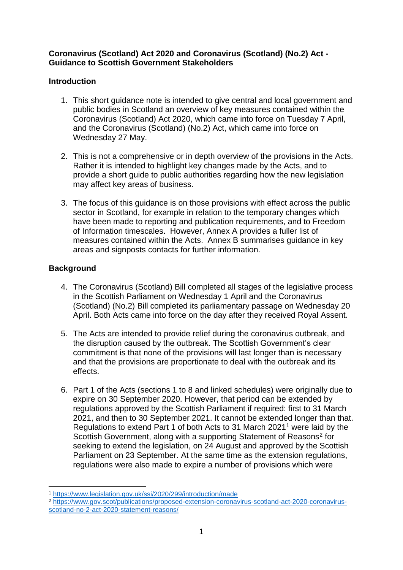### **Coronavirus (Scotland) Act 2020 and Coronavirus (Scotland) (No.2) Act - Guidance to Scottish Government Stakeholders**

## **Introduction**

- 1. This short guidance note is intended to give central and local government and public bodies in Scotland an overview of key measures contained within the Coronavirus (Scotland) Act 2020, which came into force on Tuesday 7 April, and the Coronavirus (Scotland) (No.2) Act, which came into force on Wednesday 27 May.
- 2. This is not a comprehensive or in depth overview of the provisions in the Acts. Rather it is intended to highlight key changes made by the Acts, and to provide a short guide to public authorities regarding how the new legislation may affect key areas of business.
- 3. The focus of this guidance is on those provisions with effect across the public sector in Scotland, for example in relation to the temporary changes which have been made to reporting and publication requirements, and to Freedom of Information timescales. However, Annex A provides a fuller list of measures contained within the Acts. Annex B summarises guidance in key areas and signposts contacts for further information.

## **Background**

- 4. The Coronavirus (Scotland) Bill completed all stages of the legislative process in the Scottish Parliament on Wednesday 1 April and the Coronavirus (Scotland) (No.2) Bill completed its parliamentary passage on Wednesday 20 April. Both Acts came into force on the day after they received Royal Assent.
- 5. The Acts are intended to provide relief during the coronavirus outbreak, and the disruption caused by the outbreak. The Scottish Government's clear commitment is that none of the provisions will last longer than is necessary and that the provisions are proportionate to deal with the outbreak and its effects.
- 6. Part 1 of the Acts (sections 1 to 8 and linked schedules) were originally due to expire on 30 September 2020. However, that period can be extended by regulations approved by the Scottish Parliament if required: first to 31 March 2021, and then to 30 September 2021. It cannot be extended longer than that. Regulations to extend Part 1 of both Acts to 31 March 2021<sup>1</sup> were laid by the Scottish Government, along with a supporting Statement of Reasons<sup>2</sup> for seeking to extend the legislation, on 24 August and approved by the Scottish Parliament on 23 September. At the same time as the extension regulations, regulations were also made to expire a number of provisions which were

<sup>2</sup> [https://www.gov.scot/publications/proposed-extension-coronavirus-scotland-act-2020-coronavirus](https://www.gov.scot/publications/proposed-extension-coronavirus-scotland-act-2020-coronavirus-scotland-no-2-act-2020-statement-reasons/)[scotland-no-2-act-2020-statement-reasons/](https://www.gov.scot/publications/proposed-extension-coronavirus-scotland-act-2020-coronavirus-scotland-no-2-act-2020-statement-reasons/)

<sup>1</sup> <sup>1</sup> <https://www.legislation.gov.uk/ssi/2020/299/introduction/made>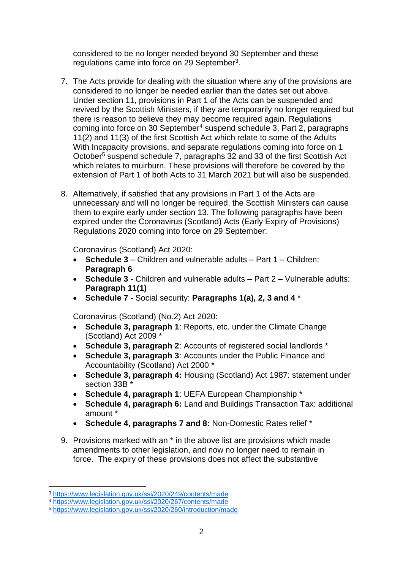considered to be no longer needed beyond 30 September and these regulations came into force on 29 September<sup>3</sup>.

- 7. The Acts provide for dealing with the situation where any of the provisions are considered to no longer be needed earlier than the dates set out above. Under section 11, provisions in Part 1 of the Acts can be suspended and revived by the Scottish Ministers, if they are temporarily no longer required but there is reason to believe they may become required again. Regulations coming into force on 30 September<sup>4</sup> suspend schedule 3, Part 2, paragraphs 11(2) and 11(3) of the first Scottish Act which relate to some of the Adults With Incapacity provisions, and separate regulations coming into force on 1 October<sup>5</sup> suspend schedule 7, paragraphs 32 and 33 of the first Scottish Act which relates to muirburn. These provisions will therefore be covered by the extension of Part 1 of both Acts to 31 March 2021 but will also be suspended.
- 8. Alternatively, if satisfied that any provisions in Part 1 of the Acts are unnecessary and will no longer be required, the Scottish Ministers can cause them to expire early under section 13. The following paragraphs have been expired under the Coronavirus (Scotland) Acts (Early Expiry of Provisions) Regulations 2020 coming into force on 29 September:

Coronavirus (Scotland) Act 2020:

- **Schedule 3** Children and vulnerable adults Part 1 Children: **Paragraph 6**
- **Schedule 3** Children and vulnerable adults Part 2 Vulnerable adults: **Paragraph 11(1)**
- **Schedule 7** Social security: **Paragraphs 1(a), 2, 3 and 4** \*

Coronavirus (Scotland) (No.2) Act 2020:

- **Schedule 3, paragraph 1**: Reports, etc. under the Climate Change (Scotland) Act 2009 \*
- **Schedule 3, paragraph 2**: Accounts of registered social landlords \*
- **Schedule 3, paragraph 3**: Accounts under the Public Finance and Accountability (Scotland) Act 2000 \*
- **Schedule 3, paragraph 4:** Housing (Scotland) Act 1987: statement under section 33B \*
- **Schedule 4, paragraph 1**: UEFA European Championship \*
- **Schedule 4, paragraph 6:** Land and Buildings Transaction Tax: additional amount \*
- **Schedule 4, paragraphs 7 and 8:** Non-Domestic Rates relief \*
- 9. Provisions marked with an \* in the above list are provisions which made amendments to other legislation, and now no longer need to remain in force. The expiry of these provisions does not affect the substantive

<sup>1</sup> <sup>3</sup> <https://www.legislation.gov.uk/ssi/2020/249/contents/made>

<sup>4</sup> <https://www.legislation.gov.uk/ssi/2020/267/contents/made>

<sup>5</sup> <https://www.legislation.gov.uk/ssi/2020/260/introduction/made>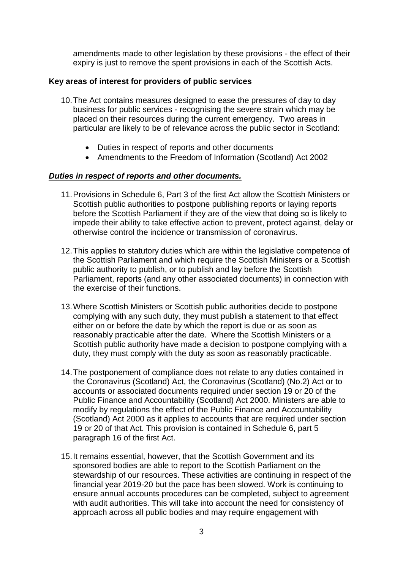amendments made to other legislation by these provisions - the effect of their expiry is just to remove the spent provisions in each of the Scottish Acts.

## **Key areas of interest for providers of public services**

- 10.The Act contains measures designed to ease the pressures of day to day business for public services - recognising the severe strain which may be placed on their resources during the current emergency. Two areas in particular are likely to be of relevance across the public sector in Scotland:
	- Duties in respect of reports and other documents
	- Amendments to the Freedom of Information (Scotland) Act 2002

### *Duties in respect of reports and other documents.*

- 11.Provisions in Schedule 6, Part 3 of the first Act allow the Scottish Ministers or Scottish public authorities to postpone publishing reports or laying reports before the Scottish Parliament if they are of the view that doing so is likely to impede their ability to take effective action to prevent, protect against, delay or otherwise control the incidence or transmission of coronavirus.
- 12.This applies to statutory duties which are within the legislative competence of the Scottish Parliament and which require the Scottish Ministers or a Scottish public authority to publish, or to publish and lay before the Scottish Parliament, reports (and any other associated documents) in connection with the exercise of their functions.
- 13.Where Scottish Ministers or Scottish public authorities decide to postpone complying with any such duty, they must publish a statement to that effect either on or before the date by which the report is due or as soon as reasonably practicable after the date. Where the Scottish Ministers or a Scottish public authority have made a decision to postpone complying with a duty, they must comply with the duty as soon as reasonably practicable.
- 14.The postponement of compliance does not relate to any duties contained in the Coronavirus (Scotland) Act, the Coronavirus (Scotland) (No.2) Act or to accounts or associated documents required under section 19 or 20 of the Public Finance and Accountability (Scotland) Act 2000. Ministers are able to modify by regulations the effect of the Public Finance and Accountability (Scotland) Act 2000 as it applies to accounts that are required under section 19 or 20 of that Act. This provision is contained in Schedule 6, part 5 paragraph 16 of the first Act.
- 15.It remains essential, however, that the Scottish Government and its sponsored bodies are able to report to the Scottish Parliament on the stewardship of our resources. These activities are continuing in respect of the financial year 2019-20 but the pace has been slowed. Work is continuing to ensure annual accounts procedures can be completed, subject to agreement with audit authorities. This will take into account the need for consistency of approach across all public bodies and may require engagement with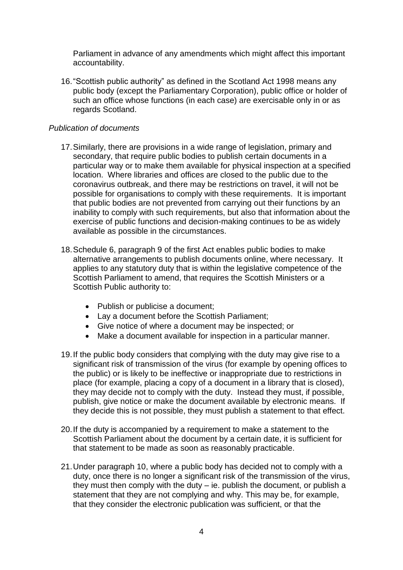Parliament in advance of any amendments which might affect this important accountability.

16."Scottish public authority" as defined in the Scotland Act 1998 means any public body (except the Parliamentary Corporation), public office or holder of such an office whose functions (in each case) are exercisable only in or as regards Scotland.

### *Publication of documents*

- 17.Similarly, there are provisions in a wide range of legislation, primary and secondary, that require public bodies to publish certain documents in a particular way or to make them available for physical inspection at a specified location. Where libraries and offices are closed to the public due to the coronavirus outbreak, and there may be restrictions on travel, it will not be possible for organisations to comply with these requirements. It is important that public bodies are not prevented from carrying out their functions by an inability to comply with such requirements, but also that information about the exercise of public functions and decision-making continues to be as widely available as possible in the circumstances.
- 18.Schedule 6, paragraph 9 of the first Act enables public bodies to make alternative arrangements to publish documents online, where necessary. It applies to any statutory duty that is within the legislative competence of the Scottish Parliament to amend, that requires the Scottish Ministers or a Scottish Public authority to:
	- Publish or publicise a document;
	- Lay a document before the Scottish Parliament;
	- Give notice of where a document may be inspected; or
	- Make a document available for inspection in a particular manner.
- 19.If the public body considers that complying with the duty may give rise to a significant risk of transmission of the virus (for example by opening offices to the public) or is likely to be ineffective or inappropriate due to restrictions in place (for example, placing a copy of a document in a library that is closed), they may decide not to comply with the duty. Instead they must, if possible, publish, give notice or make the document available by electronic means. If they decide this is not possible, they must publish a statement to that effect.
- 20.If the duty is accompanied by a requirement to make a statement to the Scottish Parliament about the document by a certain date, it is sufficient for that statement to be made as soon as reasonably practicable.
- 21.Under paragraph 10, where a public body has decided not to comply with a duty, once there is no longer a significant risk of the transmission of the virus, they must then comply with the duty – ie. publish the document, or publish a statement that they are not complying and why. This may be, for example, that they consider the electronic publication was sufficient, or that the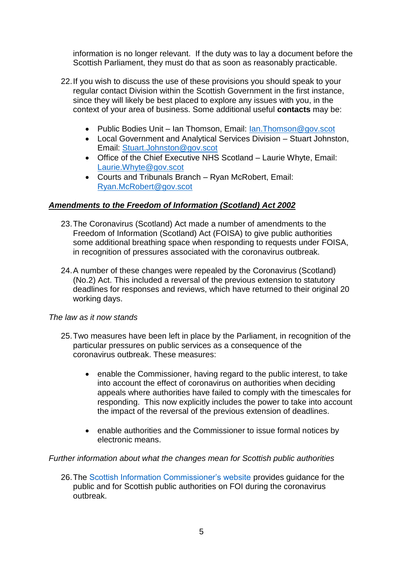information is no longer relevant. If the duty was to lay a document before the Scottish Parliament, they must do that as soon as reasonably practicable.

- 22.If you wish to discuss the use of these provisions you should speak to your regular contact Division within the Scottish Government in the first instance, since they will likely be best placed to explore any issues with you, in the context of your area of business. Some additional useful **contacts** may be:
	- Public Bodies Unit Ian Thomson, Email: Ian. Thomson@gov.scot
	- Local Government and Analytical Services Division Stuart Johnston, Email: [Stuart.Johnston@gov.scot](mailto:Stuart.Johnston@gov.scot)
	- Office of the Chief Executive NHS Scotland Laurie Whyte, Email: [Laurie.Whyte@gov.scot](mailto:Laurie.Whyte@gov.scot)
	- Courts and Tribunals Branch Ryan McRobert, Email: [Ryan.McRobert@gov.scot](mailto:Ryan.McRobert@gov.scot)

### *Amendments to the Freedom of Information (Scotland) Act 2002*

- 23.The Coronavirus (Scotland) Act made a number of amendments to the Freedom of Information (Scotland) Act (FOISA) to give public authorities some additional breathing space when responding to requests under FOISA, in recognition of pressures associated with the coronavirus outbreak.
- 24.A number of these changes were repealed by the Coronavirus (Scotland) (No.2) Act. This included a reversal of the previous extension to statutory deadlines for responses and reviews, which have returned to their original 20 working days.

### *The law as it now stands*

- 25.Two measures have been left in place by the Parliament, in recognition of the particular pressures on public services as a consequence of the coronavirus outbreak. These measures:
	- enable the Commissioner, having regard to the public interest, to take into account the effect of coronavirus on authorities when deciding appeals where authorities have failed to comply with the timescales for responding. This now explicitly includes the power to take into account the impact of the reversal of the previous extension of deadlines.
	- enable authorities and the Commissioner to issue formal notices by electronic means.

### *Further information about what the changes mean for Scottish public authorities*

26.The [Scottish Information Commissioner's website](http://www.itspublicknowledge.info/home/News/Covid-19InfoHub.aspx) provides guidance for the public and for Scottish public authorities on FOI during the coronavirus outbreak.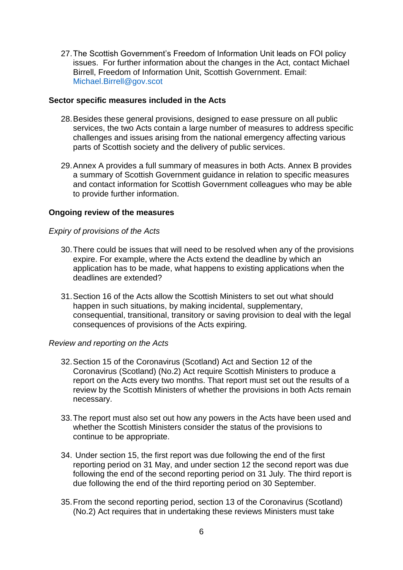27.The Scottish Government's Freedom of Information Unit leads on FOI policy issues. For further information about the changes in the Act, contact Michael Birrell, Freedom of Information Unit, Scottish Government. Email: [Michael.Birrell@gov.scot](mailto:Michael.Birrell@gov.scot)

### **Sector specific measures included in the Acts**

- 28.Besides these general provisions, designed to ease pressure on all public services, the two Acts contain a large number of measures to address specific challenges and issues arising from the national emergency affecting various parts of Scottish society and the delivery of public services.
- 29.Annex A provides a full summary of measures in both Acts. Annex B provides a summary of Scottish Government guidance in relation to specific measures and contact information for Scottish Government colleagues who may be able to provide further information.

#### **Ongoing review of the measures**

#### *Expiry of provisions of the Acts*

- 30.There could be issues that will need to be resolved when any of the provisions expire. For example, where the Acts extend the deadline by which an application has to be made, what happens to existing applications when the deadlines are extended?
- 31.Section 16 of the Acts allow the Scottish Ministers to set out what should happen in such situations, by making incidental, supplementary, consequential, transitional, transitory or saving provision to deal with the legal consequences of provisions of the Acts expiring.

#### *Review and reporting on the Acts*

- 32.Section 15 of the Coronavirus (Scotland) Act and Section 12 of the Coronavirus (Scotland) (No.2) Act require Scottish Ministers to produce a report on the Acts every two months. That report must set out the results of a review by the Scottish Ministers of whether the provisions in both Acts remain necessary.
- 33.The report must also set out how any powers in the Acts have been used and whether the Scottish Ministers consider the status of the provisions to continue to be appropriate.
- 34. Under section 15, the first report was due following the end of the first reporting period on 31 May, and under section 12 the second report was due following the end of the second reporting period on 31 July. The third report is due following the end of the third reporting period on 30 September.
- 35.From the second reporting period, section 13 of the Coronavirus (Scotland) (No.2) Act requires that in undertaking these reviews Ministers must take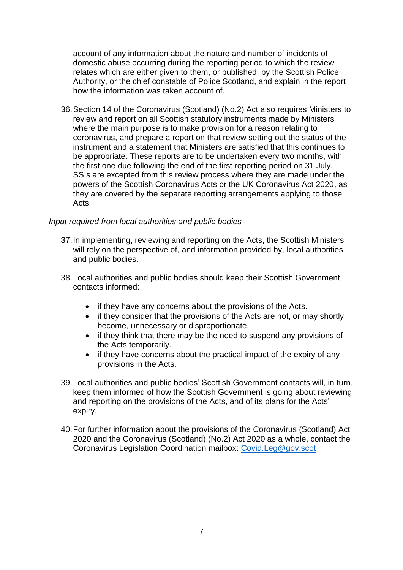account of any information about the nature and number of incidents of domestic abuse occurring during the reporting period to which the review relates which are either given to them, or published, by the Scottish Police Authority, or the chief constable of Police Scotland, and explain in the report how the information was taken account of.

36.Section 14 of the Coronavirus (Scotland) (No.2) Act also requires Ministers to review and report on all Scottish statutory instruments made by Ministers where the main purpose is to make provision for a reason relating to coronavirus, and prepare a report on that review setting out the status of the instrument and a statement that Ministers are satisfied that this continues to be appropriate. These reports are to be undertaken every two months, with the first one due following the end of the first reporting period on 31 July. SSIs are excepted from this review process where they are made under the powers of the Scottish Coronavirus Acts or the UK Coronavirus Act 2020, as they are covered by the separate reporting arrangements applying to those Acts.

### *Input required from local authorities and public bodies*

- 37.In implementing, reviewing and reporting on the Acts, the Scottish Ministers will rely on the perspective of, and information provided by, local authorities and public bodies.
- 38.Local authorities and public bodies should keep their Scottish Government contacts informed:
	- if they have any concerns about the provisions of the Acts.
	- if they consider that the provisions of the Acts are not, or may shortly become, unnecessary or disproportionate.
	- if they think that there may be the need to suspend any provisions of the Acts temporarily.
	- if they have concerns about the practical impact of the expiry of any provisions in the Acts.
- 39.Local authorities and public bodies' Scottish Government contacts will, in turn, keep them informed of how the Scottish Government is going about reviewing and reporting on the provisions of the Acts, and of its plans for the Acts' expiry.
- 40.For further information about the provisions of the Coronavirus (Scotland) Act 2020 and the Coronavirus (Scotland) (No.2) Act 2020 as a whole, contact the Coronavirus Legislation Coordination mailbox: [Covid.Leg@gov.scot](mailto:Covid.Leg@gov.scot)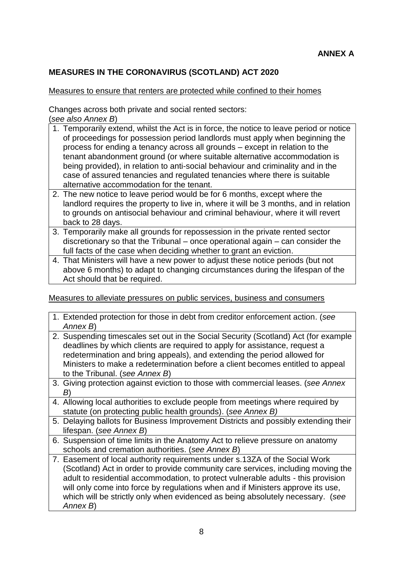## **MEASURES IN THE CORONAVIRUS (SCOTLAND) ACT 2020**

#### Measures to ensure that renters are protected while confined to their homes

Changes across both private and social rented sectors: (*see also Annex B*)

- 1. Temporarily extend, whilst the Act is in force, the notice to leave period or notice of proceedings for possession period landlords must apply when beginning the process for ending a tenancy across all grounds – except in relation to the tenant abandonment ground (or where suitable alternative accommodation is being provided), in relation to anti-social behaviour and criminality and in the case of assured tenancies and regulated tenancies where there is suitable alternative accommodation for the tenant.
- 2. The new notice to leave period would be for 6 months, except where the landlord requires the property to live in, where it will be 3 months, and in relation to grounds on antisocial behaviour and criminal behaviour, where it will revert back to 28 days.
- 3. Temporarily make all grounds for repossession in the private rented sector discretionary so that the Tribunal – once operational again – can consider the full facts of the case when deciding whether to grant an eviction.
- 4. That Ministers will have a new power to adjust these notice periods (but not above 6 months) to adapt to changing circumstances during the lifespan of the Act should that be required.

Measures to alleviate pressures on public services, business and consumers

|  | 1. Extended protection for those in debt from creditor enforcement action. (see<br>Annex B)                                                                                                                                                                                                                                                                                                                                           |
|--|---------------------------------------------------------------------------------------------------------------------------------------------------------------------------------------------------------------------------------------------------------------------------------------------------------------------------------------------------------------------------------------------------------------------------------------|
|  | 2. Suspending timescales set out in the Social Security (Scotland) Act (for example<br>deadlines by which clients are required to apply for assistance, request a<br>redetermination and bring appeals), and extending the period allowed for<br>Ministers to make a redetermination before a client becomes entitled to appeal<br>to the Tribunal. (see Annex B)                                                                     |
|  | 3. Giving protection against eviction to those with commercial leases. (see Annex<br>B'                                                                                                                                                                                                                                                                                                                                               |
|  | 4. Allowing local authorities to exclude people from meetings where required by<br>statute (on protecting public health grounds). (see Annex B)                                                                                                                                                                                                                                                                                       |
|  | 5. Delaying ballots for Business Improvement Districts and possibly extending their<br>lifespan. (see Annex B)                                                                                                                                                                                                                                                                                                                        |
|  | 6. Suspension of time limits in the Anatomy Act to relieve pressure on anatomy<br>schools and cremation authorities. (see Annex B)                                                                                                                                                                                                                                                                                                    |
|  | 7. Easement of local authority requirements under s.13ZA of the Social Work<br>(Scotland) Act in order to provide community care services, including moving the<br>adult to residential accommodation, to protect vulnerable adults - this provision<br>will only come into force by regulations when and if Ministers approve its use,<br>which will be strictly only when evidenced as being absolutely necessary. (see<br>Annex B) |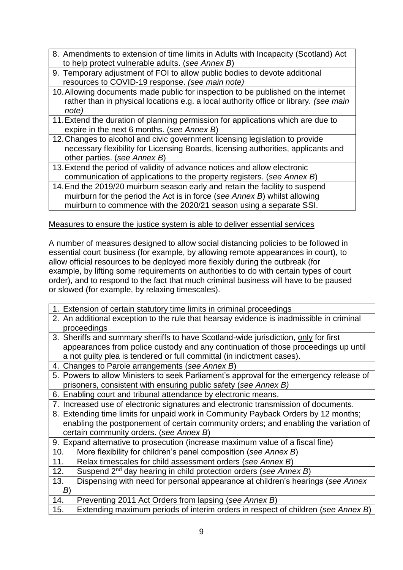- 8. Amendments to extension of time limits in Adults with Incapacity (Scotland) Act to help protect vulnerable adults. (*see Annex B*)
- 9. Temporary adjustment of FOI to allow public bodies to devote additional resources to COVID-19 response. *(see main note)*
- 10.Allowing documents made public for inspection to be published on the internet rather than in physical locations e.g. a local authority office or library*. (see main note)*
- 11.Extend the duration of planning permission for applications which are due to expire in the next 6 months. (*see Annex B*)
- 12.Changes to alcohol and civic government licensing legislation to provide necessary flexibility for Licensing Boards, licensing authorities, applicants and other parties. (*see Annex B*)
- 13.Extend the period of validity of advance notices and allow electronic communication of applications to the property registers. (*see Annex B*)
- 14.End the 2019/20 muirburn season early and retain the facility to suspend muirburn for the period the Act is in force (*see Annex B*) whilst allowing muirburn to commence with the 2020/21 season using a separate SSI.

## Measures to ensure the justice system is able to deliver essential services

A number of measures designed to allow social distancing policies to be followed in essential court business (for example, by allowing remote appearances in court), to allow official resources to be deployed more flexibly during the outbreak (for example, by lifting some requirements on authorities to do with certain types of court order), and to respond to the fact that much criminal business will have to be paused or slowed (for example, by relaxing timescales).

- 1. Extension of certain statutory time limits in criminal proceedings
- 2. An additional exception to the rule that hearsay evidence is inadmissible in criminal proceedings
- 3. Sheriffs and summary sheriffs to have Scotland-wide jurisdiction, only for first appearances from police custody and any continuation of those proceedings up until a not guilty plea is tendered or full committal (in indictment cases).
- 4. Changes to Parole arrangements (*see Annex B*)
- 5. Powers to allow Ministers to seek Parliament's approval for the emergency release of prisoners, consistent with ensuring public safety (*see Annex B)*
- 6. Enabling court and tribunal attendance by electronic means.
- 7. Increased use of electronic signatures and electronic transmission of documents.
- 8. Extending time limits for unpaid work in Community Payback Orders by 12 months; enabling the postponement of certain community orders; and enabling the variation of certain community orders. (*see Annex B*)
- 9. Expand alternative to prosecution (increase maximum value of a fiscal fine)
- 10. More flexibility for children's panel composition (*see Annex B*)
- 11. Relax timescales for child assessment orders (*see Annex B*)
- 12. Suspend 2nd day hearing in child protection orders (*see Annex B*)

| 13. |  |  |  | Dispensing with need for personal appearance at children's hearings (see Annex |
|-----|--|--|--|--------------------------------------------------------------------------------|
|     |  |  |  |                                                                                |
|     |  |  |  |                                                                                |

- 14. Preventing 2011 Act Orders from lapsing (*see Annex B*)
- 15. Extending maximum periods of interim orders in respect of children (*see Annex B*)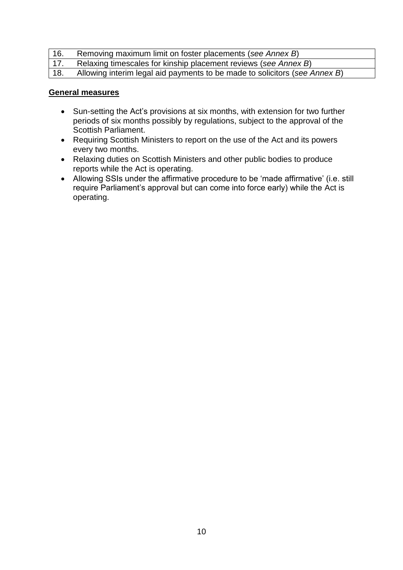| 16. | Removing maximum limit on foster placements (see Annex B)                  |
|-----|----------------------------------------------------------------------------|
| 17. | Relaxing timescales for kinship placement reviews (see Annex B)            |
| 18. | Allowing interim legal aid payments to be made to solicitors (see Annex B) |

### **General measures**

- Sun-setting the Act's provisions at six months, with extension for two further periods of six months possibly by regulations, subject to the approval of the Scottish Parliament.
- Requiring Scottish Ministers to report on the use of the Act and its powers every two months.
- Relaxing duties on Scottish Ministers and other public bodies to produce reports while the Act is operating.
- Allowing SSIs under the affirmative procedure to be 'made affirmative' (i.e. still require Parliament's approval but can come into force early) while the Act is operating.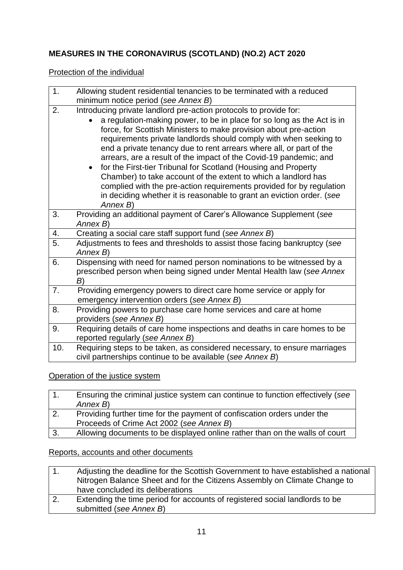# **MEASURES IN THE CORONAVIRUS (SCOTLAND) (NO.2) ACT 2020**

## Protection of the individual

| 1.  | Allowing student residential tenancies to be terminated with a reduced                                                                                                                                                                                                                                                                                                                                                                                                                                                                                                                                                                                                                                                                         |
|-----|------------------------------------------------------------------------------------------------------------------------------------------------------------------------------------------------------------------------------------------------------------------------------------------------------------------------------------------------------------------------------------------------------------------------------------------------------------------------------------------------------------------------------------------------------------------------------------------------------------------------------------------------------------------------------------------------------------------------------------------------|
|     | minimum notice period (see Annex B)                                                                                                                                                                                                                                                                                                                                                                                                                                                                                                                                                                                                                                                                                                            |
| 2.  | Introducing private landlord pre-action protocols to provide for:<br>a regulation-making power, to be in place for so long as the Act is in<br>force, for Scottish Ministers to make provision about pre-action<br>requirements private landlords should comply with when seeking to<br>end a private tenancy due to rent arrears where all, or part of the<br>arrears, are a result of the impact of the Covid-19 pandemic; and<br>for the First-tier Tribunal for Scotland (Housing and Property<br>$\bullet$<br>Chamber) to take account of the extent to which a landlord has<br>complied with the pre-action requirements provided for by regulation<br>in deciding whether it is reasonable to grant an eviction order. (see<br>Annex B) |
| 3.  | Providing an additional payment of Carer's Allowance Supplement (see<br>Annex B)                                                                                                                                                                                                                                                                                                                                                                                                                                                                                                                                                                                                                                                               |
| 4.  | Creating a social care staff support fund (see Annex B)                                                                                                                                                                                                                                                                                                                                                                                                                                                                                                                                                                                                                                                                                        |
| 5.  | Adjustments to fees and thresholds to assist those facing bankruptcy (see<br>Annex B)                                                                                                                                                                                                                                                                                                                                                                                                                                                                                                                                                                                                                                                          |
| 6.  | Dispensing with need for named person nominations to be witnessed by a<br>prescribed person when being signed under Mental Health law (see Annex<br>B)                                                                                                                                                                                                                                                                                                                                                                                                                                                                                                                                                                                         |
| 7.  | Providing emergency powers to direct care home service or apply for<br>emergency intervention orders (see Annex B)                                                                                                                                                                                                                                                                                                                                                                                                                                                                                                                                                                                                                             |
| 8.  | Providing powers to purchase care home services and care at home<br>providers (see Annex B)                                                                                                                                                                                                                                                                                                                                                                                                                                                                                                                                                                                                                                                    |
| 9.  | Requiring details of care home inspections and deaths in care homes to be<br>reported regularly (see Annex B)                                                                                                                                                                                                                                                                                                                                                                                                                                                                                                                                                                                                                                  |
| 10. | Requiring steps to be taken, as considered necessary, to ensure marriages<br>civil partnerships continue to be available (see Annex B)                                                                                                                                                                                                                                                                                                                                                                                                                                                                                                                                                                                                         |
|     |                                                                                                                                                                                                                                                                                                                                                                                                                                                                                                                                                                                                                                                                                                                                                |

Operation of the justice system

|    | Ensuring the criminal justice system can continue to function effectively (see |
|----|--------------------------------------------------------------------------------|
|    | Annex B)                                                                       |
|    | Providing further time for the payment of confiscation orders under the        |
|    | Proceeds of Crime Act 2002 (see Annex B)                                       |
| 3. | Allowing documents to be displayed online rather than on the walls of court    |

# Reports, accounts and other documents

|    | Adjusting the deadline for the Scottish Government to have established a national<br>Nitrogen Balance Sheet and for the Citizens Assembly on Climate Change to |
|----|----------------------------------------------------------------------------------------------------------------------------------------------------------------|
|    | have concluded its deliberations                                                                                                                               |
| 2. | Extending the time period for accounts of registered social landlords to be                                                                                    |
|    | submitted (see Annex B)                                                                                                                                        |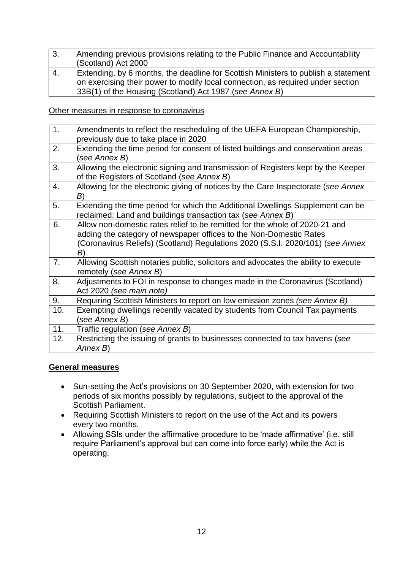- 3. Amending previous provisions relating to the Public Finance and Accountability (Scotland) Act 2000 4. Extending, by 6 months, the deadline for Scottish Ministers to publish a statement
- on exercising their power to modify local connection, as required under section 33B(1) of the Housing (Scotland) Act 1987 (*see Annex B*)

Other measures in response to coronavirus

| 1.  | Amendments to reflect the rescheduling of the UEFA European Championship,<br>previously due to take place in 2020                                                                                                                         |
|-----|-------------------------------------------------------------------------------------------------------------------------------------------------------------------------------------------------------------------------------------------|
| 2.  | Extending the time period for consent of listed buildings and conservation areas<br>(see Annex B)                                                                                                                                         |
| 3.  | Allowing the electronic signing and transmission of Registers kept by the Keeper<br>of the Registers of Scotland (see Annex B)                                                                                                            |
| 4.  | Allowing for the electronic giving of notices by the Care Inspectorate (see Annex<br>B)                                                                                                                                                   |
| 5.  | Extending the time period for which the Additional Dwellings Supplement can be<br>reclaimed: Land and buildings transaction tax (see Annex B)                                                                                             |
| 6.  | Allow non-domestic rates relief to be remitted for the whole of 2020-21 and<br>adding the category of newspaper offices to the Non-Domestic Rates<br>(Coronavirus Reliefs) (Scotland) Regulations 2020 (S.S.I. 2020/101) (see Annex<br>B) |
| 7.  | Allowing Scottish notaries public, solicitors and advocates the ability to execute<br>remotely (see Annex B)                                                                                                                              |
| 8.  | Adjustments to FOI in response to changes made in the Coronavirus (Scotland)<br>Act 2020 (see main note)                                                                                                                                  |
| 9.  | Requiring Scottish Ministers to report on low emission zones (see Annex B)                                                                                                                                                                |
| 10. | Exempting dwellings recently vacated by students from Council Tax payments<br>see Annex B)                                                                                                                                                |
| 11. | Traffic regulation (see Annex B)                                                                                                                                                                                                          |
| 12. | Restricting the issuing of grants to businesses connected to tax havens (see<br>Annex B)                                                                                                                                                  |

## **General measures**

- Sun-setting the Act's provisions on 30 September 2020, with extension for two periods of six months possibly by regulations, subject to the approval of the Scottish Parliament.
- Requiring Scottish Ministers to report on the use of the Act and its powers every two months.
- Allowing SSIs under the affirmative procedure to be 'made affirmative' (i.e. still require Parliament's approval but can come into force early) while the Act is operating.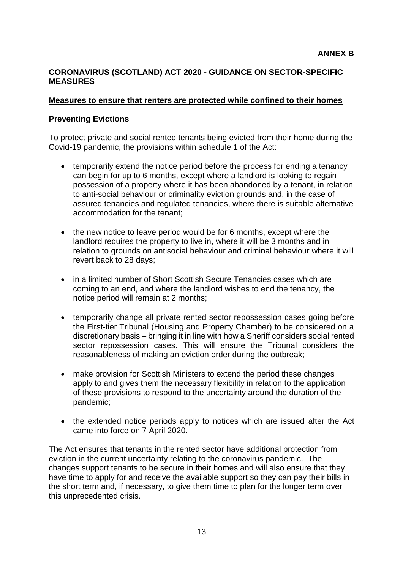### **CORONAVIRUS (SCOTLAND) ACT 2020 - GUIDANCE ON SECTOR-SPECIFIC MEASURES**

### **Measures to ensure that renters are protected while confined to their homes**

### **Preventing Evictions**

To protect private and social rented tenants being evicted from their home during the Covid-19 pandemic, the provisions within schedule 1 of the Act:

- temporarily extend the notice period before the process for ending a tenancy can begin for up to 6 months, except where a landlord is looking to regain possession of a property where it has been abandoned by a tenant, in relation to anti-social behaviour or criminality eviction grounds and, in the case of assured tenancies and regulated tenancies, where there is suitable alternative accommodation for the tenant;
- the new notice to leave period would be for 6 months, except where the landlord requires the property to live in, where it will be 3 months and in relation to grounds on antisocial behaviour and criminal behaviour where it will revert back to 28 days;
- in a limited number of Short Scottish Secure Tenancies cases which are coming to an end, and where the landlord wishes to end the tenancy, the notice period will remain at 2 months;
- temporarily change all private rented sector repossession cases going before the First-tier Tribunal (Housing and Property Chamber) to be considered on a discretionary basis – bringing it in line with how a Sheriff considers social rented sector repossession cases. This will ensure the Tribunal considers the reasonableness of making an eviction order during the outbreak;
- make provision for Scottish Ministers to extend the period these changes apply to and gives them the necessary flexibility in relation to the application of these provisions to respond to the uncertainty around the duration of the pandemic;
- the extended notice periods apply to notices which are issued after the Act came into force on 7 April 2020.

The Act ensures that tenants in the rented sector have additional protection from eviction in the current uncertainty relating to the coronavirus pandemic. The changes support tenants to be secure in their homes and will also ensure that they have time to apply for and receive the available support so they can pay their bills in the short term and, if necessary, to give them time to plan for the longer term over this unprecedented crisis.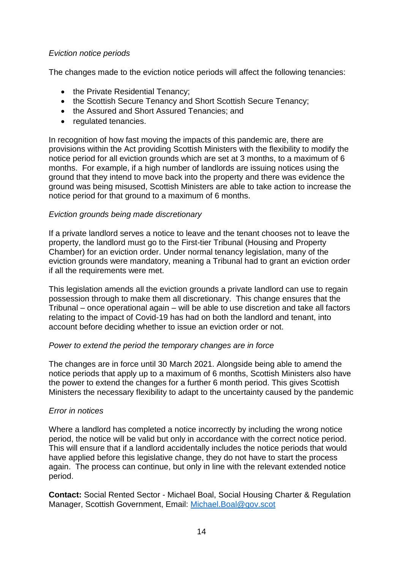### *Eviction notice periods*

The changes made to the eviction notice periods will affect the following tenancies:

- the Private Residential Tenancy;
- the Scottish Secure Tenancy and Short Scottish Secure Tenancy;
- the Assured and Short Assured Tenancies; and
- regulated tenancies.

In recognition of how fast moving the impacts of this pandemic are, there are provisions within the Act providing Scottish Ministers with the flexibility to modify the notice period for all eviction grounds which are set at 3 months, to a maximum of 6 months. For example, if a high number of landlords are issuing notices using the ground that they intend to move back into the property and there was evidence the ground was being misused, Scottish Ministers are able to take action to increase the notice period for that ground to a maximum of 6 months.

### *Eviction grounds being made discretionary*

If a private landlord serves a notice to leave and the tenant chooses not to leave the property, the landlord must go to the First-tier Tribunal (Housing and Property Chamber) for an eviction order. Under normal tenancy legislation, many of the eviction grounds were mandatory, meaning a Tribunal had to grant an eviction order if all the requirements were met.

This legislation amends all the eviction grounds a private landlord can use to regain possession through to make them all discretionary. This change ensures that the Tribunal – once operational again – will be able to use discretion and take all factors relating to the impact of Covid-19 has had on both the landlord and tenant, into account before deciding whether to issue an eviction order or not.

### *Power to extend the period the temporary changes are in force*

The changes are in force until 30 March 2021. Alongside being able to amend the notice periods that apply up to a maximum of 6 months, Scottish Ministers also have the power to extend the changes for a further 6 month period. This gives Scottish Ministers the necessary flexibility to adapt to the uncertainty caused by the pandemic

### *Error in notices*

Where a landlord has completed a notice incorrectly by including the wrong notice period, the notice will be valid but only in accordance with the correct notice period. This will ensure that if a landlord accidentally includes the notice periods that would have applied before this legislative change, they do not have to start the process again. The process can continue, but only in line with the relevant extended notice period.

**Contact:** Social Rented Sector - Michael Boal, Social Housing Charter & Regulation Manager, Scottish Government, Email: [Michael.Boal@gov.scot](mailto:Michael.Boal@gov.scot)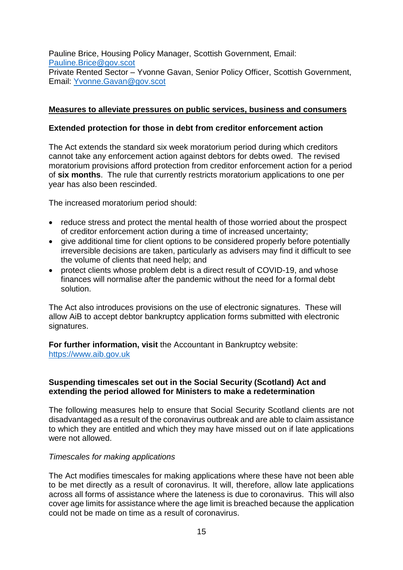Pauline Brice, Housing Policy Manager, Scottish Government, Email: [Pauline.Brice@gov.scot](mailto:Pauline.Brice@gov.scot) Private Rented Sector – Yvonne Gavan, Senior Policy Officer, Scottish Government, Email: [Yvonne.Gavan@gov.scot](mailto:Yvonne.Gavan@gov.scot) 

### **Measures to alleviate pressures on public services, business and consumers**

#### **Extended protection for those in debt from creditor enforcement action**

The Act extends the standard six week moratorium period during which creditors cannot take any enforcement action against debtors for debts owed. The revised moratorium provisions afford protection from creditor enforcement action for a period of **six months**. The rule that currently restricts moratorium applications to one per year has also been rescinded.

The increased moratorium period should:

- reduce stress and protect the mental health of those worried about the prospect of creditor enforcement action during a time of increased uncertainty;
- give additional time for client options to be considered properly before potentially irreversible decisions are taken, particularly as advisers may find it difficult to see the volume of clients that need help; and
- protect clients whose problem debt is a direct result of COVID-19, and whose finances will normalise after the pandemic without the need for a formal debt solution.

The Act also introduces provisions on the use of electronic signatures. These will allow AiB to accept debtor bankruptcy application forms submitted with electronic signatures.

**For further information, visit** the Accountant in Bankruptcy website: [https://www.aib.gov.uk](https://www.aib.gov.uk/)

### **Suspending timescales set out in the Social Security (Scotland) Act and extending the period allowed for Ministers to make a redetermination**

The following measures help to ensure that Social Security Scotland clients are not disadvantaged as a result of the coronavirus outbreak and are able to claim assistance to which they are entitled and which they may have missed out on if late applications were not allowed.

#### *Timescales for making applications*

The Act modifies timescales for making applications where these have not been able to be met directly as a result of coronavirus. It will, therefore, allow late applications across all forms of assistance where the lateness is due to coronavirus. This will also cover age limits for assistance where the age limit is breached because the application could not be made on time as a result of coronavirus.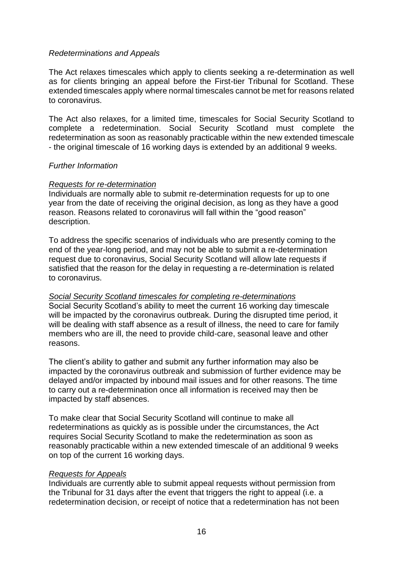### *Redeterminations and Appeals*

The Act relaxes timescales which apply to clients seeking a re-determination as well as for clients bringing an appeal before the First-tier Tribunal for Scotland. These extended timescales apply where normal timescales cannot be met for reasons related to coronavirus.

The Act also relaxes, for a limited time, timescales for Social Security Scotland to complete a redetermination. Social Security Scotland must complete the redetermination as soon as reasonably practicable within the new extended timescale - the original timescale of 16 working days is extended by an additional 9 weeks.

### *Further Information*

### *Requests for re-determination*

Individuals are normally able to submit re-determination requests for up to one year from the date of receiving the original decision, as long as they have a good reason. Reasons related to coronavirus will fall within the "good reason" description.

To address the specific scenarios of individuals who are presently coming to the end of the year-long period, and may not be able to submit a re-determination request due to coronavirus, Social Security Scotland will allow late requests if satisfied that the reason for the delay in requesting a re-determination is related to coronavirus.

### *Social Security Scotland timescales for completing re-determinations*

Social Security Scotland's ability to meet the current 16 working day timescale will be impacted by the coronavirus outbreak. During the disrupted time period, it will be dealing with staff absence as a result of illness, the need to care for family members who are ill, the need to provide child-care, seasonal leave and other reasons.

The client's ability to gather and submit any further information may also be impacted by the coronavirus outbreak and submission of further evidence may be delayed and/or impacted by inbound mail issues and for other reasons. The time to carry out a re-determination once all information is received may then be impacted by staff absences.

To make clear that Social Security Scotland will continue to make all redeterminations as quickly as is possible under the circumstances, the Act requires Social Security Scotland to make the redetermination as soon as reasonably practicable within a new extended timescale of an additional 9 weeks on top of the current 16 working days.

### *Requests for Appeals*

Individuals are currently able to submit appeal requests without permission from the Tribunal for 31 days after the event that triggers the right to appeal (i.e. a redetermination decision, or receipt of notice that a redetermination has not been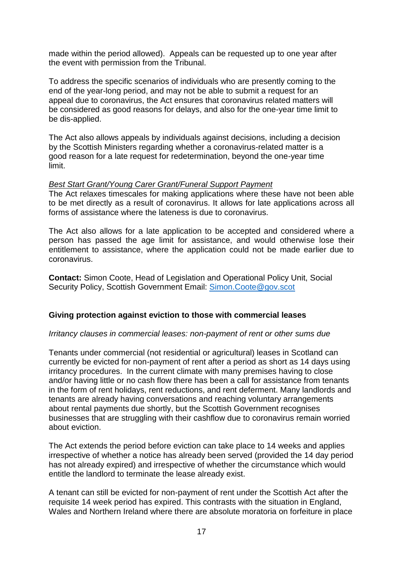made within the period allowed). Appeals can be requested up to one year after the event with permission from the Tribunal.

To address the specific scenarios of individuals who are presently coming to the end of the year-long period, and may not be able to submit a request for an appeal due to coronavirus, the Act ensures that coronavirus related matters will be considered as good reasons for delays, and also for the one-year time limit to be dis-applied.

The Act also allows appeals by individuals against decisions, including a decision by the Scottish Ministers regarding whether a coronavirus-related matter is a good reason for a late request for redetermination, beyond the one-year time limit.

#### *Best Start Grant/Young Carer Grant/Funeral Support Payment*

The Act relaxes timescales for making applications where these have not been able to be met directly as a result of coronavirus. It allows for late applications across all forms of assistance where the lateness is due to coronavirus.

The Act also allows for a late application to be accepted and considered where a person has passed the age limit for assistance, and would otherwise lose their entitlement to assistance, where the application could not be made earlier due to coronavirus.

**Contact:** Simon Coote, Head of Legislation and Operational Policy Unit, Social Security Policy, Scottish Government Email: [Simon.Coote@gov.scot](mailto:simon.coote@gov.scot)

### **Giving protection against eviction to those with commercial leases**

#### *Irritancy clauses in commercial leases: non-payment of rent or other sums due*

Tenants under commercial (not residential or agricultural) leases in Scotland can currently be evicted for non-payment of rent after a period as short as 14 days using irritancy procedures. In the current climate with many premises having to close and/or having little or no cash flow there has been a call for assistance from tenants in the form of rent holidays, rent reductions, and rent deferment. Many landlords and tenants are already having conversations and reaching voluntary arrangements about rental payments due shortly, but the Scottish Government recognises businesses that are struggling with their cashflow due to coronavirus remain worried about eviction.

The Act extends the period before eviction can take place to 14 weeks and applies irrespective of whether a notice has already been served (provided the 14 day period has not already expired) and irrespective of whether the circumstance which would entitle the landlord to terminate the lease already exist.

A tenant can still be evicted for non-payment of rent under the Scottish Act after the requisite 14 week period has expired. This contrasts with the situation in England, Wales and Northern Ireland where there are absolute moratoria on forfeiture in place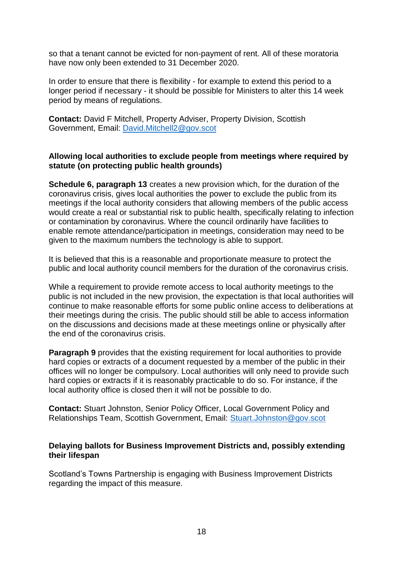so that a tenant cannot be evicted for non-payment of rent. All of these moratoria have now only been extended to 31 December 2020.

In order to ensure that there is flexibility - for example to extend this period to a longer period if necessary - it should be possible for Ministers to alter this 14 week period by means of regulations.

**Contact:** David F Mitchell, Property Adviser, Property Division, Scottish Government, Email: [David.Mitchell2@gov.scot](mailto:David.Mitchell2@gov.scot)

### **Allowing local authorities to exclude people from meetings where required by statute (on protecting public health grounds)**

**Schedule 6, paragraph 13** creates a new provision which, for the duration of the coronavirus crisis, gives local authorities the power to exclude the public from its meetings if the local authority considers that allowing members of the public access would create a real or substantial risk to public health, specifically relating to infection or contamination by coronavirus. Where the council ordinarily have facilities to enable remote attendance/participation in meetings, consideration may need to be given to the maximum numbers the technology is able to support.

It is believed that this is a reasonable and proportionate measure to protect the public and local authority council members for the duration of the coronavirus crisis.

While a requirement to provide remote access to local authority meetings to the public is not included in the new provision, the expectation is that local authorities will continue to make reasonable efforts for some public online access to deliberations at their meetings during the crisis. The public should still be able to access information on the discussions and decisions made at these meetings online or physically after the end of the coronavirus crisis.

**Paragraph 9** provides that the existing requirement for local authorities to provide hard copies or extracts of a document requested by a member of the public in their offices will no longer be compulsory. Local authorities will only need to provide such hard copies or extracts if it is reasonably practicable to do so. For instance, if the local authority office is closed then it will not be possible to do.

**Contact:** Stuart Johnston, Senior Policy Officer, Local Government Policy and Relationships Team, Scottish Government, Email: [Stuart.Johnston@gov.scot](mailto:Stuart.Johnston@gov.scot)

### **Delaying ballots for Business Improvement Districts and, possibly extending their lifespan**

Scotland's Towns Partnership is engaging with Business Improvement Districts regarding the impact of this measure.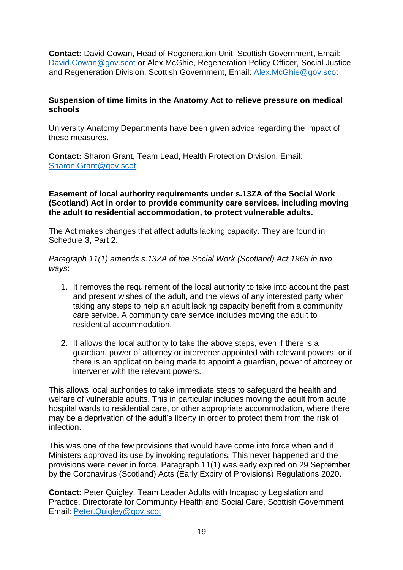**Contact:** David Cowan, Head of Regeneration Unit, Scottish Government, Email: [David.Cowan@gov.scot](mailto:david.cowan@gov.scot) or Alex McGhie, Regeneration Policy Officer, Social Justice and Regeneration Division, Scottish Government, Email: [Alex.McGhie@gov.scot](mailto:Alex.McGhie@gov.scot)

### **Suspension of time limits in the Anatomy Act to relieve pressure on medical schools**

University Anatomy Departments have been given advice regarding the impact of these measures.

**Contact:** Sharon Grant, Team Lead, Health Protection Division, Email: [Sharon.Grant@gov.scot](mailto:sharon.grant@gov.scot)

### **Easement of local authority requirements under s.13ZA of the Social Work (Scotland) Act in order to provide community care services, including moving the adult to residential accommodation, to protect vulnerable adults.**

The Act makes changes that affect adults lacking capacity. They are found in Schedule 3, Part 2.

*Paragraph 11(1) amends s.13ZA of the Social Work (Scotland) Act 1968 in two ways*:

- 1. It removes the requirement of the local authority to take into account the past and present wishes of the adult, and the views of any interested party when taking any steps to help an adult lacking capacity benefit from a community care service. A community care service includes moving the adult to residential accommodation.
- 2. It allows the local authority to take the above steps, even if there is a guardian, power of attorney or intervener appointed with relevant powers, or if there is an application being made to appoint a guardian, power of attorney or intervener with the relevant powers.

This allows local authorities to take immediate steps to safeguard the health and welfare of vulnerable adults. This in particular includes moving the adult from acute hospital wards to residential care, or other appropriate accommodation, where there may be a deprivation of the adult's liberty in order to protect them from the risk of infection.

This was one of the few provisions that would have come into force when and if Ministers approved its use by invoking regulations. This never happened and the provisions were never in force. Paragraph 11(1) was early expired on 29 September by the Coronavirus (Scotland) Acts (Early Expiry of Provisions) Regulations 2020.

**Contact:** Peter Quigley, Team Leader Adults with Incapacity Legislation and Practice, Directorate for Community Health and Social Care, Scottish Government Email: [Peter.Quigley@gov.scot](mailto:Peter.Quigley@gov.scot)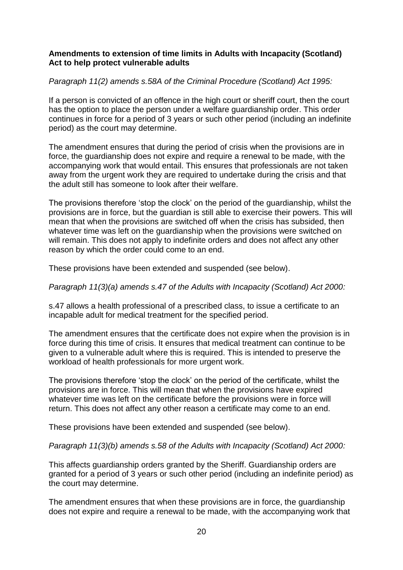### **Amendments to extension of time limits in Adults with Incapacity (Scotland) Act to help protect vulnerable adults**

### *Paragraph 11(2) amends s.58A of the Criminal Procedure (Scotland) Act 1995:*

If a person is convicted of an offence in the high court or sheriff court, then the court has the option to place the person under a welfare guardianship order. This order continues in force for a period of 3 years or such other period (including an indefinite period) as the court may determine.

The amendment ensures that during the period of crisis when the provisions are in force, the guardianship does not expire and require a renewal to be made, with the accompanying work that would entail. This ensures that professionals are not taken away from the urgent work they are required to undertake during the crisis and that the adult still has someone to look after their welfare.

The provisions therefore 'stop the clock' on the period of the guardianship, whilst the provisions are in force, but the guardian is still able to exercise their powers. This will mean that when the provisions are switched off when the crisis has subsided, then whatever time was left on the guardianship when the provisions were switched on will remain. This does not apply to indefinite orders and does not affect any other reason by which the order could come to an end.

These provisions have been extended and suspended (see below).

*Paragraph 11(3)(a) amends s.47 of the Adults with Incapacity (Scotland) Act 2000:*

s.47 allows a health professional of a prescribed class, to issue a certificate to an incapable adult for medical treatment for the specified period.

The amendment ensures that the certificate does not expire when the provision is in force during this time of crisis. It ensures that medical treatment can continue to be given to a vulnerable adult where this is required. This is intended to preserve the workload of health professionals for more urgent work.

The provisions therefore 'stop the clock' on the period of the certificate, whilst the provisions are in force. This will mean that when the provisions have expired whatever time was left on the certificate before the provisions were in force will return. This does not affect any other reason a certificate may come to an end.

These provisions have been extended and suspended (see below).

### *Paragraph 11(3)(b) amends s.58 of the Adults with Incapacity (Scotland) Act 2000:*

This affects guardianship orders granted by the Sheriff. Guardianship orders are granted for a period of 3 years or such other period (including an indefinite period) as the court may determine.

The amendment ensures that when these provisions are in force, the guardianship does not expire and require a renewal to be made, with the accompanying work that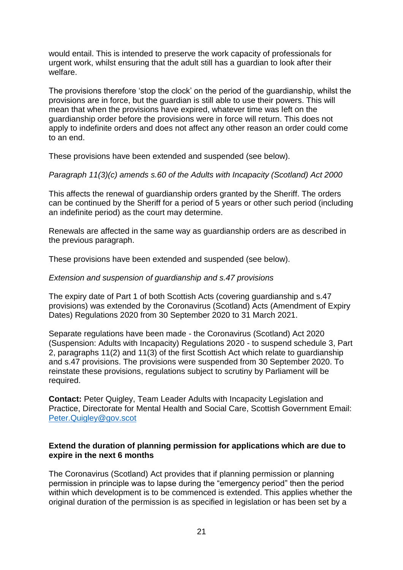would entail. This is intended to preserve the work capacity of professionals for urgent work, whilst ensuring that the adult still has a guardian to look after their welfare.

The provisions therefore 'stop the clock' on the period of the guardianship, whilst the provisions are in force, but the guardian is still able to use their powers. This will mean that when the provisions have expired, whatever time was left on the guardianship order before the provisions were in force will return. This does not apply to indefinite orders and does not affect any other reason an order could come to an end.

These provisions have been extended and suspended (see below).

### *Paragraph 11(3)(c) amends s.60 of the Adults with Incapacity (Scotland) Act 2000*

This affects the renewal of guardianship orders granted by the Sheriff. The orders can be continued by the Sheriff for a period of 5 years or other such period (including an indefinite period) as the court may determine.

Renewals are affected in the same way as guardianship orders are as described in the previous paragraph.

These provisions have been extended and suspended (see below).

#### *Extension and suspension of guardianship and s.47 provisions*

The expiry date of Part 1 of both Scottish Acts (covering guardianship and s.47 provisions) was extended by the Coronavirus (Scotland) Acts (Amendment of Expiry Dates) Regulations 2020 from 30 September 2020 to 31 March 2021.

Separate regulations have been made - the Coronavirus (Scotland) Act 2020 (Suspension: Adults with Incapacity) Regulations 2020 - to suspend schedule 3, Part 2, paragraphs 11(2) and 11(3) of the first Scottish Act which relate to guardianship and s.47 provisions. The provisions were suspended from 30 September 2020. To reinstate these provisions, regulations subject to scrutiny by Parliament will be required.

**Contact:** Peter Quigley, Team Leader Adults with Incapacity Legislation and Practice, Directorate for Mental Health and Social Care, Scottish Government Email: [Peter.Quigley@gov.scot](mailto:Peter.Quigley@gov.scot)

### **Extend the duration of planning permission for applications which are due to expire in the next 6 months**

The Coronavirus (Scotland) Act provides that if planning permission or planning permission in principle was to lapse during the "emergency period" then the period within which development is to be commenced is extended. This applies whether the original duration of the permission is as specified in legislation or has been set by a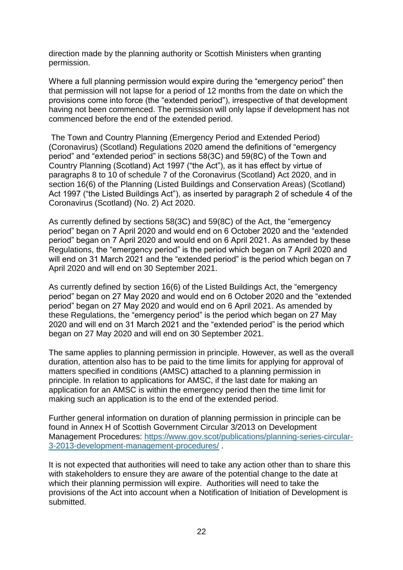direction made by the planning authority or Scottish Ministers when granting permission.

Where a full planning permission would expire during the "emergency period" then that permission will not lapse for a period of 12 months from the date on which the provisions come into force (the "extended period"), irrespective of that development having not been commenced. The permission will only lapse if development has not commenced before the end of the extended period.

The Town and Country Planning (Emergency Period and Extended Period) (Coronavirus) (Scotland) Regulations 2020 amend the definitions of "emergency period" and "extended period" in sections 58(3C) and 59(8C) of the Town and Country Planning (Scotland) Act 1997 ("the Act"), as it has effect by virtue of paragraphs 8 to 10 of schedule 7 of the Coronavirus (Scotland) Act 2020, and in section 16(6) of the Planning (Listed Buildings and Conservation Areas) (Scotland) Act 1997 ("the Listed Buildings Act"), as inserted by paragraph 2 of schedule 4 of the Coronavirus (Scotland) (No. 2) Act 2020.

As currently defined by sections 58(3C) and 59(8C) of the Act, the "emergency period" began on 7 April 2020 and would end on 6 October 2020 and the "extended period" began on 7 April 2020 and would end on 6 April 2021. As amended by these Regulations, the "emergency period" is the period which began on 7 April 2020 and will end on 31 March 2021 and the "extended period" is the period which began on 7 April 2020 and will end on 30 September 2021.

As currently defined by section 16(6) of the Listed Buildings Act, the "emergency period" began on 27 May 2020 and would end on 6 October 2020 and the "extended period" began on 27 May 2020 and would end on 6 April 2021. As amended by these Regulations, the "emergency period" is the period which began on 27 May 2020 and will end on 31 March 2021 and the "extended period" is the period which began on 27 May 2020 and will end on 30 September 2021.

The same applies to planning permission in principle. However, as well as the overall duration, attention also has to be paid to the time limits for applying for approval of matters specified in conditions (AMSC) attached to a planning permission in principle. In relation to applications for AMSC, if the last date for making an application for an AMSC is within the emergency period then the time limit for making such an application is to the end of the extended period.

Further general information on duration of planning permission in principle can be found in Annex H of Scottish Government Circular 3/2013 on Development Management Procedures: [https://www.gov.scot/publications/planning-series-circular-](https://www.gov.scot/publications/planning-series-circular-3-2013-development-management-procedures/)[3-2013-development-management-procedures/](https://www.gov.scot/publications/planning-series-circular-3-2013-development-management-procedures/) .

It is not expected that authorities will need to take any action other than to share this with stakeholders to ensure they are aware of the potential change to the date at which their planning permission will expire. Authorities will need to take the provisions of the Act into account when a Notification of Initiation of Development is submitted.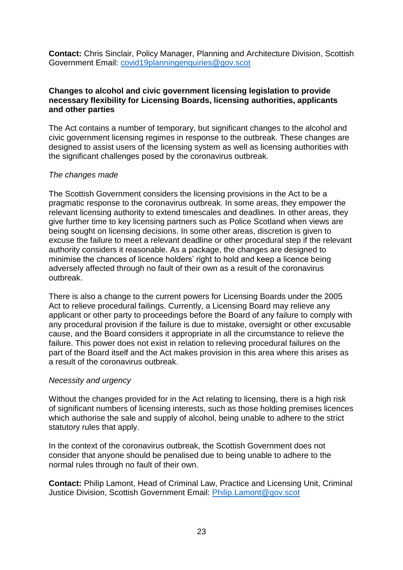**Contact:** Chris Sinclair, Policy Manager, Planning and Architecture Division, Scottish Government Email: [covid19planningenquiries@gov.scot](mailto:covid19planningenquiries@gov.scot)

#### **Changes to alcohol and civic government licensing legislation to provide necessary flexibility for Licensing Boards, licensing authorities, applicants and other parties**

The Act contains a number of temporary, but significant changes to the alcohol and civic government licensing regimes in response to the outbreak. These changes are designed to assist users of the licensing system as well as licensing authorities with the significant challenges posed by the coronavirus outbreak.

### *The changes made*

The Scottish Government considers the licensing provisions in the Act to be a pragmatic response to the coronavirus outbreak. In some areas, they empower the relevant licensing authority to extend timescales and deadlines. In other areas, they give further time to key licensing partners such as Police Scotland when views are being sought on licensing decisions. In some other areas, discretion is given to excuse the failure to meet a relevant deadline or other procedural step if the relevant authority considers it reasonable. As a package, the changes are designed to minimise the chances of licence holders' right to hold and keep a licence being adversely affected through no fault of their own as a result of the coronavirus outbreak.

There is also a change to the current powers for Licensing Boards under the 2005 Act to relieve procedural failings. Currently, a Licensing Board may relieve any applicant or other party to proceedings before the Board of any failure to comply with any procedural provision if the failure is due to mistake, oversight or other excusable cause, and the Board considers it appropriate in all the circumstance to relieve the failure. This power does not exist in relation to relieving procedural failures on the part of the Board itself and the Act makes provision in this area where this arises as a result of the coronavirus outbreak.

### *Necessity and urgency*

Without the changes provided for in the Act relating to licensing, there is a high risk of significant numbers of licensing interests, such as those holding premises licences which authorise the sale and supply of alcohol, being unable to adhere to the strict statutory rules that apply.

In the context of the coronavirus outbreak, the Scottish Government does not consider that anyone should be penalised due to being unable to adhere to the normal rules through no fault of their own.

**Contact:** Philip Lamont, Head of Criminal Law, Practice and Licensing Unit, Criminal Justice Division, Scottish Government Email: [Philip.Lamont@gov.scot](mailto:Philip.Lamont@gov.scot)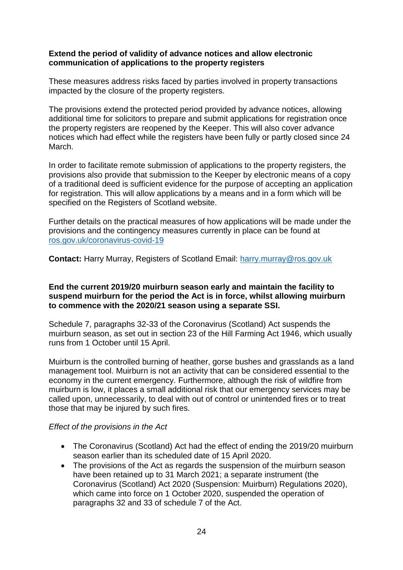#### **Extend the period of validity of advance notices and allow electronic communication of applications to the property registers**

These measures address risks faced by parties involved in property transactions impacted by the closure of the property registers.

The provisions extend the protected period provided by advance notices, allowing additional time for solicitors to prepare and submit applications for registration once the property registers are reopened by the Keeper. This will also cover advance notices which had effect while the registers have been fully or partly closed since 24 March.

In order to facilitate remote submission of applications to the property registers, the provisions also provide that submission to the Keeper by electronic means of a copy of a traditional deed is sufficient evidence for the purpose of accepting an application for registration. This will allow applications by a means and in a form which will be specified on the Registers of Scotland website.

Further details on the practical measures of how applications will be made under the provisions and the contingency measures currently in place can be found at [ros.gov.uk/coronavirus-covid-19](https://www.ros.gov.uk/coronavirus-covid-19)

**Contact:** Harry Murray, Registers of Scotland Email: [harry.murray@ros.gov.uk](mailto:harry.murray@ros.gov.uk)

### **End the current 2019/20 muirburn season early and maintain the facility to suspend muirburn for the period the Act is in force, whilst allowing muirburn to commence with the 2020/21 season using a separate SSI.**

Schedule 7, paragraphs 32-33 of the Coronavirus (Scotland) Act suspends the muirburn season, as set out in section 23 of the Hill Farming Act 1946, which usually runs from 1 October until 15 April.

Muirburn is the controlled burning of heather, gorse bushes and grasslands as a land management tool. Muirburn is not an activity that can be considered essential to the economy in the current emergency. Furthermore, although the risk of wildfire from muirburn is low, it places a small additional risk that our emergency services may be called upon, unnecessarily, to deal with out of control or unintended fires or to treat those that may be injured by such fires.

### *Effect of the provisions in the Act*

- The Coronavirus (Scotland) Act had the effect of ending the 2019/20 muirburn season earlier than its scheduled date of 15 April 2020.
- The provisions of the Act as regards the suspension of the muirburn season have been retained up to 31 March 2021; a separate instrument (the Coronavirus (Scotland) Act 2020 (Suspension: Muirburn) Regulations 2020), which came into force on 1 October 2020, suspended the operation of paragraphs 32 and 33 of schedule 7 of the Act.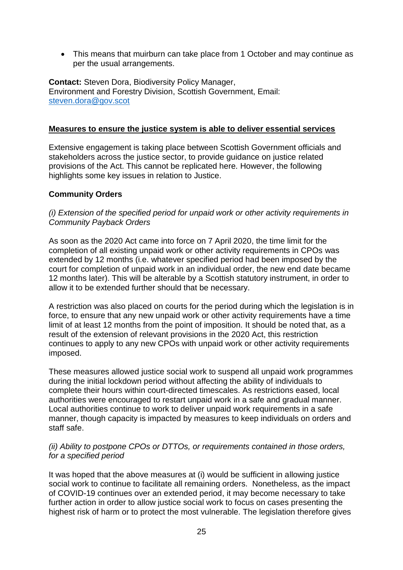• This means that muirburn can take place from 1 October and may continue as per the usual arrangements.

**Contact:** Steven Dora, Biodiversity Policy Manager, Environment and Forestry Division, Scottish Government, Email: [steven.dora@gov.scot](mailto:steven.dora@gov.scot)

#### **Measures to ensure the justice system is able to deliver essential services**

Extensive engagement is taking place between Scottish Government officials and stakeholders across the justice sector, to provide guidance on justice related provisions of the Act. This cannot be replicated here. However, the following highlights some key issues in relation to Justice.

### **Community Orders**

### *(i) Extension of the specified period for unpaid work or other activity requirements in Community Payback Orders*

As soon as the 2020 Act came into force on 7 April 2020, the time limit for the completion of all existing unpaid work or other activity requirements in CPOs was extended by 12 months (i.e. whatever specified period had been imposed by the court for completion of unpaid work in an individual order, the new end date became 12 months later). This will be alterable by a Scottish statutory instrument, in order to allow it to be extended further should that be necessary.

A restriction was also placed on courts for the period during which the legislation is in force, to ensure that any new unpaid work or other activity requirements have a time limit of at least 12 months from the point of imposition. It should be noted that, as a result of the extension of relevant provisions in the 2020 Act, this restriction continues to apply to any new CPOs with unpaid work or other activity requirements imposed.

These measures allowed justice social work to suspend all unpaid work programmes during the initial lockdown period without affecting the ability of individuals to complete their hours within court-directed timescales. As restrictions eased, local authorities were encouraged to restart unpaid work in a safe and gradual manner. Local authorities continue to work to deliver unpaid work requirements in a safe manner, though capacity is impacted by measures to keep individuals on orders and staff safe.

#### *(ii) Ability to postpone CPOs or DTTOs, or requirements contained in those orders, for a specified period*

It was hoped that the above measures at (i) would be sufficient in allowing justice social work to continue to facilitate all remaining orders. Nonetheless, as the impact of COVID-19 continues over an extended period, it may become necessary to take further action in order to allow justice social work to focus on cases presenting the highest risk of harm or to protect the most vulnerable. The legislation therefore gives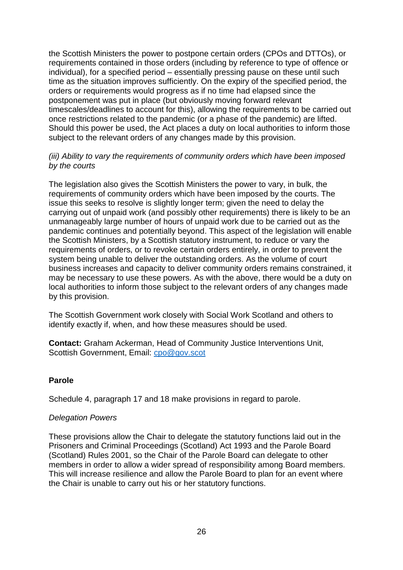the Scottish Ministers the power to postpone certain orders (CPOs and DTTOs), or requirements contained in those orders (including by reference to type of offence or individual), for a specified period – essentially pressing pause on these until such time as the situation improves sufficiently. On the expiry of the specified period, the orders or requirements would progress as if no time had elapsed since the postponement was put in place (but obviously moving forward relevant timescales/deadlines to account for this), allowing the requirements to be carried out once restrictions related to the pandemic (or a phase of the pandemic) are lifted. Should this power be used, the Act places a duty on local authorities to inform those subject to the relevant orders of any changes made by this provision.

### *(iii) Ability to vary the requirements of community orders which have been imposed by the courts*

The legislation also gives the Scottish Ministers the power to vary, in bulk, the requirements of community orders which have been imposed by the courts. The issue this seeks to resolve is slightly longer term; given the need to delay the carrying out of unpaid work (and possibly other requirements) there is likely to be an unmanageably large number of hours of unpaid work due to be carried out as the pandemic continues and potentially beyond. This aspect of the legislation will enable the Scottish Ministers, by a Scottish statutory instrument, to reduce or vary the requirements of orders, or to revoke certain orders entirely, in order to prevent the system being unable to deliver the outstanding orders. As the volume of court business increases and capacity to deliver community orders remains constrained, it may be necessary to use these powers. As with the above, there would be a duty on local authorities to inform those subject to the relevant orders of any changes made by this provision.

The Scottish Government work closely with Social Work Scotland and others to identify exactly if, when, and how these measures should be used.

**Contact:** Graham Ackerman, Head of Community Justice Interventions Unit, Scottish Government, Email: [cpo@gov.scot](mailto:cpo@gov.scot)

### **Parole**

Schedule 4, paragraph 17 and 18 make provisions in regard to parole.

### *Delegation Powers*

These provisions allow the Chair to delegate the statutory functions laid out in the Prisoners and Criminal Proceedings (Scotland) Act 1993 and the Parole Board (Scotland) Rules 2001, so the Chair of the Parole Board can delegate to other members in order to allow a wider spread of responsibility among Board members. This will increase resilience and allow the Parole Board to plan for an event where the Chair is unable to carry out his or her statutory functions.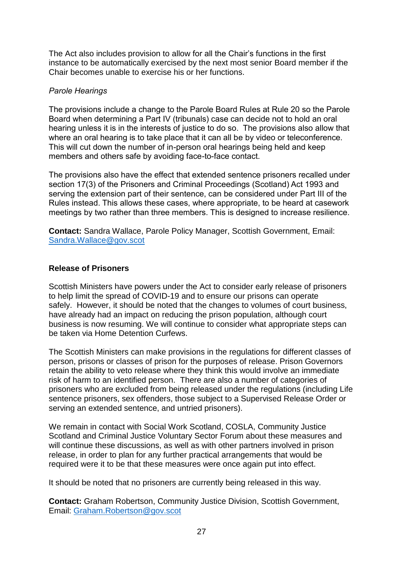The Act also includes provision to allow for all the Chair's functions in the first instance to be automatically exercised by the next most senior Board member if the Chair becomes unable to exercise his or her functions.

### *Parole Hearings*

The provisions include a change to the Parole Board Rules at Rule 20 so the Parole Board when determining a Part IV (tribunals) case can decide not to hold an oral hearing unless it is in the interests of justice to do so. The provisions also allow that where an oral hearing is to take place that it can all be by video or teleconference. This will cut down the number of in-person oral hearings being held and keep members and others safe by avoiding face-to-face contact.

The provisions also have the effect that extended sentence prisoners recalled under section 17(3) of the Prisoners and Criminal Proceedings (Scotland) Act 1993 and serving the extension part of their sentence, can be considered under Part III of the Rules instead. This allows these cases, where appropriate, to be heard at casework meetings by two rather than three members. This is designed to increase resilience.

**Contact:** Sandra Wallace, Parole Policy Manager, Scottish Government, Email: [Sandra.Wallace@gov.scot](mailto:Sandra.Wallace@gov.scot)

### **Release of Prisoners**

Scottish Ministers have powers under the Act to consider early release of prisoners to help limit the spread of COVID-19 and to ensure our prisons can operate safely. However, it should be noted that the changes to volumes of court business, have already had an impact on reducing the prison population, although court business is now resuming. We will continue to consider what appropriate steps can be taken via Home Detention Curfews.

The Scottish Ministers can make provisions in the regulations for different classes of person, prisons or classes of prison for the purposes of release. Prison Governors retain the ability to veto release where they think this would involve an immediate risk of harm to an identified person. There are also a number of categories of prisoners who are excluded from being released under the regulations (including Life sentence prisoners, sex offenders, those subject to a Supervised Release Order or serving an extended sentence, and untried prisoners).

We remain in contact with Social Work Scotland, COSLA, Community Justice Scotland and Criminal Justice Voluntary Sector Forum about these measures and will continue these discussions, as well as with other partners involved in prison release, in order to plan for any further practical arrangements that would be required were it to be that these measures were once again put into effect.

It should be noted that no prisoners are currently being released in this way.

**Contact:** Graham Robertson, Community Justice Division, Scottish Government, Email: [Graham.Robertson@gov.scot](mailto:Graham.Robertson@gov.scot)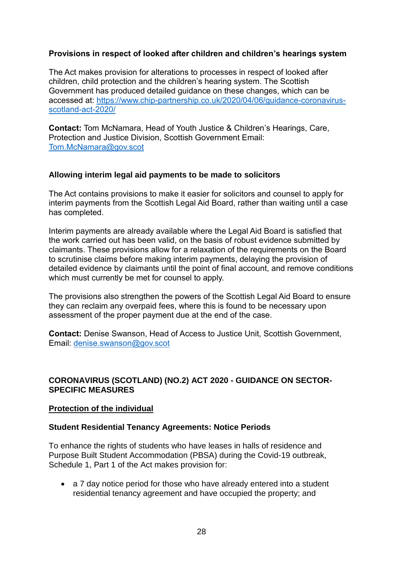## **Provisions in respect of looked after children and children's hearings system**

The Act makes provision for alterations to processes in respect of looked after children, child protection and the children's hearing system. The Scottish Government has produced detailed guidance on these changes, which can be accessed at: [https://www.chip-partnership.co.uk/2020/04/06/guidance-coronavirus](https://www.chip-partnership.co.uk/2020/04/06/guidance-coronavirus-scotland-act-2020/)[scotland-act-2020/](https://www.chip-partnership.co.uk/2020/04/06/guidance-coronavirus-scotland-act-2020/)

**Contact:** Tom McNamara, Head of Youth Justice & Children's Hearings, Care, Protection and Justice Division, Scottish Government Email: [Tom.McNamara@gov.scot](mailto:Tom.McNamara@gov.scot)

### **Allowing interim legal aid payments to be made to solicitors**

The Act contains provisions to make it easier for solicitors and counsel to apply for interim payments from the Scottish Legal Aid Board, rather than waiting until a case has completed.

Interim payments are already available where the Legal Aid Board is satisfied that the work carried out has been valid, on the basis of robust evidence submitted by claimants. These provisions allow for a relaxation of the requirements on the Board to scrutinise claims before making interim payments, delaying the provision of detailed evidence by claimants until the point of final account, and remove conditions which must currently be met for counsel to apply.

The provisions also strengthen the powers of the Scottish Legal Aid Board to ensure they can reclaim any overpaid fees, where this is found to be necessary upon assessment of the proper payment due at the end of the case.

**Contact:** Denise Swanson, Head of Access to Justice Unit, Scottish Government, Email: [denise.swanson@gov.scot](mailto:denise.swanson@gov.scot)

### **CORONAVIRUS (SCOTLAND) (NO.2) ACT 2020 - GUIDANCE ON SECTOR-SPECIFIC MEASURES**

### **Protection of the individual**

#### **Student Residential Tenancy Agreements: Notice Periods**

To enhance the rights of students who have leases in halls of residence and Purpose Built Student Accommodation (PBSA) during the Covid-19 outbreak, Schedule 1, Part 1 of the Act makes provision for:

 a 7 day notice period for those who have already entered into a student residential tenancy agreement and have occupied the property; and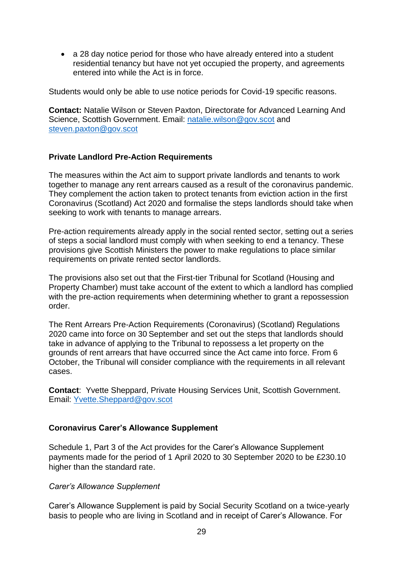• a 28 day notice period for those who have already entered into a student residential tenancy but have not yet occupied the property, and agreements entered into while the Act is in force.

Students would only be able to use notice periods for Covid-19 specific reasons.

**Contact:** Natalie Wilson or Steven Paxton, Directorate for Advanced Learning And Science, Scottish Government. Email: [natalie.wilson@gov.scot](mailto:natalie.wilson@gov.scot) and [steven.paxton@gov.scot](mailto:steven.paxton@gov.scot)

### **Private Landlord Pre-Action Requirements**

The measures within the Act aim to support private landlords and tenants to work together to manage any rent arrears caused as a result of the coronavirus pandemic. They complement the action taken to protect tenants from eviction action in the first Coronavirus (Scotland) Act 2020 and formalise the steps landlords should take when seeking to work with tenants to manage arrears.

Pre-action requirements already apply in the social rented sector, setting out a series of steps a social landlord must comply with when seeking to end a tenancy. These provisions give Scottish Ministers the power to make regulations to place similar requirements on private rented sector landlords.

The provisions also set out that the First-tier Tribunal for Scotland (Housing and Property Chamber) must take account of the extent to which a landlord has complied with the pre-action requirements when determining whether to grant a repossession order.

The Rent Arrears Pre-Action Requirements (Coronavirus) (Scotland) Regulations 2020 came into force on 30 September and set out the steps that landlords should take in advance of applying to the Tribunal to repossess a let property on the grounds of rent arrears that have occurred since the Act came into force. From 6 October, the Tribunal will consider compliance with the requirements in all relevant cases.

**Contact**: Yvette Sheppard, Private Housing Services Unit, Scottish Government. Email: [Yvette.Sheppard@gov.scot](mailto:Yvette.Sheppard@gov.scot)

### **Coronavirus Carer's Allowance Supplement**

Schedule 1, Part 3 of the Act provides for the Carer's Allowance Supplement payments made for the period of 1 April 2020 to 30 September 2020 to be £230.10 higher than the standard rate.

### *Carer's Allowance Supplement*

Carer's Allowance Supplement is paid by Social Security Scotland on a twice-yearly basis to people who are living in Scotland and in receipt of Carer's Allowance. For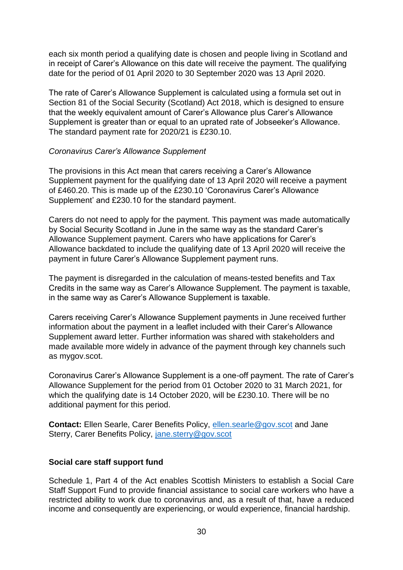each six month period a qualifying date is chosen and people living in Scotland and in receipt of Carer's Allowance on this date will receive the payment. The qualifying date for the period of 01 April 2020 to 30 September 2020 was 13 April 2020.

The rate of Carer's Allowance Supplement is calculated using a formula set out in Section 81 of the Social Security (Scotland) Act 2018, which is designed to ensure that the weekly equivalent amount of Carer's Allowance plus Carer's Allowance Supplement is greater than or equal to an uprated rate of Jobseeker's Allowance. The standard payment rate for 2020/21 is £230.10.

#### *Coronavirus Carer's Allowance Supplement*

The provisions in this Act mean that carers receiving a Carer's Allowance Supplement payment for the qualifying date of 13 April 2020 will receive a payment of £460.20. This is made up of the £230.10 'Coronavirus Carer's Allowance Supplement' and £230.10 for the standard payment.

Carers do not need to apply for the payment. This payment was made automatically by Social Security Scotland in June in the same way as the standard Carer's Allowance Supplement payment. Carers who have applications for Carer's Allowance backdated to include the qualifying date of 13 April 2020 will receive the payment in future Carer's Allowance Supplement payment runs.

The payment is disregarded in the calculation of means-tested benefits and Tax Credits in the same way as Carer's Allowance Supplement. The payment is taxable, in the same way as Carer's Allowance Supplement is taxable.

Carers receiving Carer's Allowance Supplement payments in June received further information about the payment in a leaflet included with their Carer's Allowance Supplement award letter. Further information was shared with stakeholders and made available more widely in advance of the payment through key channels such as mygov.scot.

Coronavirus Carer's Allowance Supplement is a one-off payment. The rate of Carer's Allowance Supplement for the period from 01 October 2020 to 31 March 2021, for which the qualifying date is 14 October 2020, will be £230.10. There will be no additional payment for this period.

**Contact:** Ellen Searle, Carer Benefits Policy, [ellen.searle@gov.scot](mailto:ellen.searle@gov.scot) and Jane Sterry, Carer Benefits Policy, [jane.sterry@gov.scot](mailto:jane.sterry@gov.scot)

### **Social care staff support fund**

Schedule 1, Part 4 of the Act enables Scottish Ministers to establish a Social Care Staff Support Fund to provide financial assistance to social care workers who have a restricted ability to work due to coronavirus and, as a result of that, have a reduced income and consequently are experiencing, or would experience, financial hardship.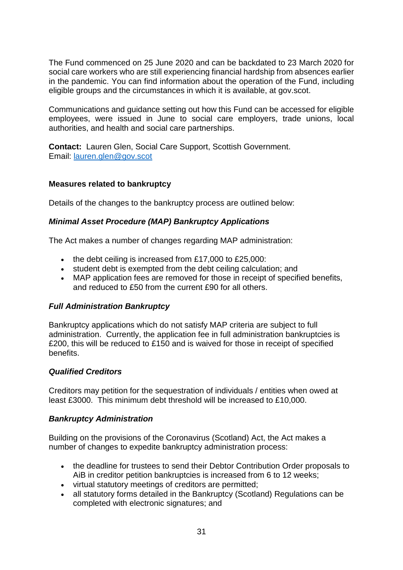The Fund commenced on 25 June 2020 and can be backdated to 23 March 2020 for social care workers who are still experiencing financial hardship from absences earlier in the pandemic. You can find information about the operation of the Fund, including eligible groups and the circumstances in which it is available, at gov.scot.

Communications and guidance setting out how this Fund can be accessed for eligible employees, were issued in June to social care employers, trade unions, local authorities, and health and social care partnerships.

**Contact:** Lauren Glen, Social Care Support, Scottish Government. Email: [lauren.glen@gov.scot](mailto:lauren.glen@gov.scot)

### **Measures related to bankruptcy**

Details of the changes to the bankruptcy process are outlined below:

### *Minimal Asset Procedure (MAP) Bankruptcy Applications*

The Act makes a number of changes regarding MAP administration:

- the debt ceiling is increased from £17,000 to £25,000:
- student debt is exempted from the debt ceiling calculation; and
- MAP application fees are removed for those in receipt of specified benefits, and reduced to £50 from the current £90 for all others.

## *Full Administration Bankruptcy*

Bankruptcy applications which do not satisfy MAP criteria are subject to full administration. Currently, the application fee in full administration bankruptcies is £200, this will be reduced to £150 and is waived for those in receipt of specified benefits.

## *Qualified Creditors*

Creditors may petition for the sequestration of individuals / entities when owed at least £3000. This minimum debt threshold will be increased to £10,000.

### *Bankruptcy Administration*

Building on the provisions of the Coronavirus (Scotland) Act, the Act makes a number of changes to expedite bankruptcy administration process:

- the deadline for trustees to send their Debtor Contribution Order proposals to AiB in creditor petition bankruptcies is increased from 6 to 12 weeks;
- virtual statutory meetings of creditors are permitted;
- all statutory forms detailed in the Bankruptcy (Scotland) Regulations can be completed with electronic signatures; and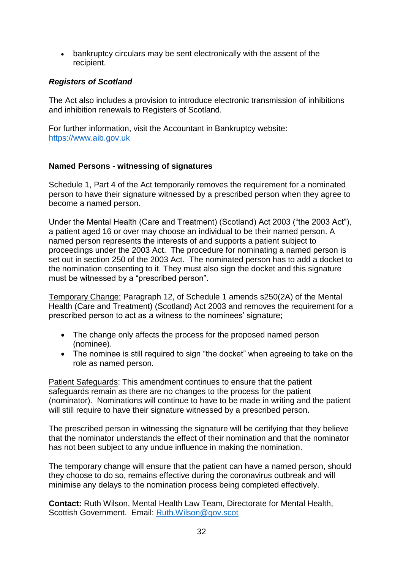bankruptcy circulars may be sent electronically with the assent of the recipient.

### *Registers of Scotland*

The Act also includes a provision to introduce electronic transmission of inhibitions and inhibition renewals to Registers of Scotland.

For further information, visit the Accountant in Bankruptcy website: [https://www.aib.gov.uk](https://www.aib.gov.uk/)

### **Named Persons - witnessing of signatures**

Schedule 1, Part 4 of the Act temporarily removes the requirement for a nominated person to have their signature witnessed by a prescribed person when they agree to become a named person.

Under the Mental Health (Care and Treatment) (Scotland) Act 2003 ("the 2003 Act"), a patient aged 16 or over may choose an individual to be their named person. A named person represents the interests of and supports a patient subject to proceedings under the 2003 Act. The procedure for nominating a named person is set out in section 250 of the 2003 Act. The nominated person has to add a docket to the nomination consenting to it. They must also sign the docket and this signature must be witnessed by a "prescribed person".

Temporary Change: Paragraph 12, of Schedule 1 amends s250(2A) of the Mental Health (Care and Treatment) (Scotland) Act 2003 and removes the requirement for a prescribed person to act as a witness to the nominees' signature;

- The change only affects the process for the proposed named person (nominee).
- The nominee is still required to sign "the docket" when agreeing to take on the role as named person.

Patient Safeguards: This amendment continues to ensure that the patient safeguards remain as there are no changes to the process for the patient (nominator). Nominations will continue to have to be made in writing and the patient will still require to have their signature witnessed by a prescribed person.

The prescribed person in witnessing the signature will be certifying that they believe that the nominator understands the effect of their nomination and that the nominator has not been subject to any undue influence in making the nomination.

The temporary change will ensure that the patient can have a named person, should they choose to do so, remains effective during the coronavirus outbreak and will minimise any delays to the nomination process being completed effectively.

**Contact:** Ruth Wilson, Mental Health Law Team, Directorate for Mental Health, Scottish Government. Email: [Ruth.Wilson@gov.scot](mailto:Ruth.Wilson@gov.scot)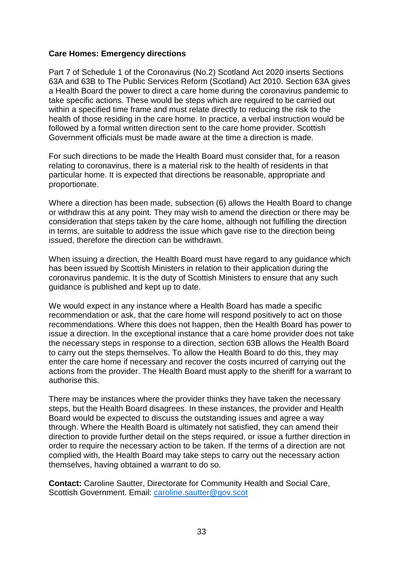### **Care Homes: Emergency directions**

Part 7 of Schedule 1 of the Coronavirus (No.2) Scotland Act 2020 inserts Sections 63A and 63B to The Public Services Reform (Scotland) Act 2010. Section 63A gives a Health Board the power to direct a care home during the coronavirus pandemic to take specific actions. These would be steps which are required to be carried out within a specified time frame and must relate directly to reducing the risk to the health of those residing in the care home. In practice, a verbal instruction would be followed by a formal written direction sent to the care home provider. Scottish Government officials must be made aware at the time a direction is made.

For such directions to be made the Health Board must consider that, for a reason relating to coronavirus, there is a material risk to the health of residents in that particular home. It is expected that directions be reasonable, appropriate and proportionate.

Where a direction has been made, subsection (6) allows the Health Board to change or withdraw this at any point. They may wish to amend the direction or there may be consideration that steps taken by the care home, although not fulfilling the direction in terms, are suitable to address the issue which gave rise to the direction being issued, therefore the direction can be withdrawn.

When issuing a direction, the Health Board must have regard to any guidance which has been issued by Scottish Ministers in relation to their application during the coronavirus pandemic. It is the duty of Scottish Ministers to ensure that any such guidance is published and kept up to date.

We would expect in any instance where a Health Board has made a specific recommendation or ask, that the care home will respond positively to act on those recommendations. Where this does not happen, then the Health Board has power to issue a direction. In the exceptional instance that a care home provider does not take the necessary steps in response to a direction, section 63B allows the Health Board to carry out the steps themselves. To allow the Health Board to do this, they may enter the care home if necessary and recover the costs incurred of carrying out the actions from the provider. The Health Board must apply to the sheriff for a warrant to authorise this.

There may be instances where the provider thinks they have taken the necessary steps, but the Health Board disagrees. In these instances, the provider and Health Board would be expected to discuss the outstanding issues and agree a way through. Where the Health Board is ultimately not satisfied, they can amend their direction to provide further detail on the steps required, or issue a further direction in order to require the necessary action to be taken. If the terms of a direction are not complied with, the Health Board may take steps to carry out the necessary action themselves, having obtained a warrant to do so.

**Contact:** Caroline Sautter, Directorate for Community Health and Social Care, Scottish Government. Email: [caroline.sautter@gov.scot](mailto:caroline.sautter@gov.scot)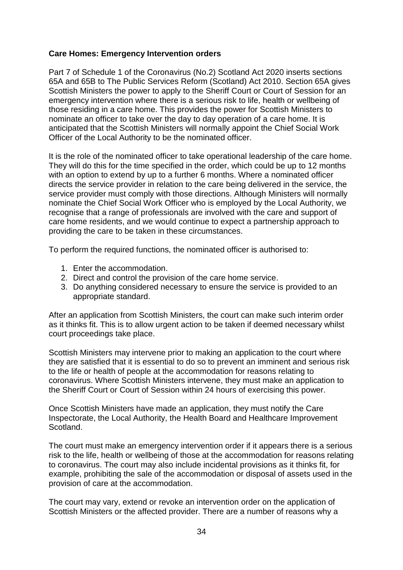### **Care Homes: Emergency Intervention orders**

Part 7 of Schedule 1 of the Coronavirus (No.2) Scotland Act 2020 inserts sections 65A and 65B to The Public Services Reform (Scotland) Act 2010. Section 65A gives Scottish Ministers the power to apply to the Sheriff Court or Court of Session for an emergency intervention where there is a serious risk to life, health or wellbeing of those residing in a care home. This provides the power for Scottish Ministers to nominate an officer to take over the day to day operation of a care home. It is anticipated that the Scottish Ministers will normally appoint the Chief Social Work Officer of the Local Authority to be the nominated officer.

It is the role of the nominated officer to take operational leadership of the care home. They will do this for the time specified in the order, which could be up to 12 months with an option to extend by up to a further 6 months. Where a nominated officer directs the service provider in relation to the care being delivered in the service, the service provider must comply with those directions. Although Ministers will normally nominate the Chief Social Work Officer who is employed by the Local Authority, we recognise that a range of professionals are involved with the care and support of care home residents, and we would continue to expect a partnership approach to providing the care to be taken in these circumstances.

To perform the required functions, the nominated officer is authorised to:

- 1. Enter the accommodation.
- 2. Direct and control the provision of the care home service.
- 3. Do anything considered necessary to ensure the service is provided to an appropriate standard.

After an application from Scottish Ministers, the court can make such interim order as it thinks fit. This is to allow urgent action to be taken if deemed necessary whilst court proceedings take place.

Scottish Ministers may intervene prior to making an application to the court where they are satisfied that it is essential to do so to prevent an imminent and serious risk to the life or health of people at the accommodation for reasons relating to coronavirus. Where Scottish Ministers intervene, they must make an application to the Sheriff Court or Court of Session within 24 hours of exercising this power.

Once Scottish Ministers have made an application, they must notify the Care Inspectorate, the Local Authority, the Health Board and Healthcare Improvement Scotland.

The court must make an emergency intervention order if it appears there is a serious risk to the life, health or wellbeing of those at the accommodation for reasons relating to coronavirus. The court may also include incidental provisions as it thinks fit, for example, prohibiting the sale of the accommodation or disposal of assets used in the provision of care at the accommodation.

The court may vary, extend or revoke an intervention order on the application of Scottish Ministers or the affected provider. There are a number of reasons why a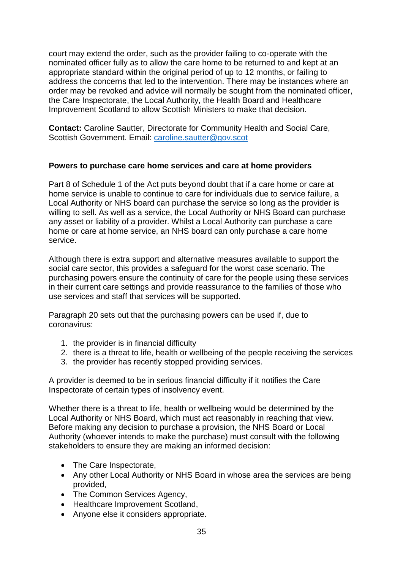court may extend the order, such as the provider failing to co-operate with the nominated officer fully as to allow the care home to be returned to and kept at an appropriate standard within the original period of up to 12 months, or failing to address the concerns that led to the intervention. There may be instances where an order may be revoked and advice will normally be sought from the nominated officer, the Care Inspectorate, the Local Authority, the Health Board and Healthcare Improvement Scotland to allow Scottish Ministers to make that decision.

**Contact:** Caroline Sautter, Directorate for Community Health and Social Care, Scottish Government. Email: [caroline.sautter@gov.scot](mailto:caroline.sautter@gov.scot) 

### **Powers to purchase care home services and care at home providers**

Part 8 of Schedule 1 of the Act puts beyond doubt that if a care home or care at home service is unable to continue to care for individuals due to service failure, a Local Authority or NHS board can purchase the service so long as the provider is willing to sell. As well as a service, the Local Authority or NHS Board can purchase any asset or liability of a provider. Whilst a Local Authority can purchase a care home or care at home service, an NHS board can only purchase a care home service.

Although there is extra support and alternative measures available to support the social care sector, this provides a safeguard for the worst case scenario. The purchasing powers ensure the continuity of care for the people using these services in their current care settings and provide reassurance to the families of those who use services and staff that services will be supported.

Paragraph 20 sets out that the purchasing powers can be used if, due to coronavirus:

- 1. the provider is in financial difficulty
- 2. there is a threat to life, health or wellbeing of the people receiving the services
- 3. the provider has recently stopped providing services.

A provider is deemed to be in serious financial difficulty if it notifies the Care Inspectorate of certain types of insolvency event.

Whether there is a threat to life, health or wellbeing would be determined by the Local Authority or NHS Board, which must act reasonably in reaching that view. Before making any decision to purchase a provision, the NHS Board or Local Authority (whoever intends to make the purchase) must consult with the following stakeholders to ensure they are making an informed decision:

- The Care Inspectorate,
- Any other Local Authority or NHS Board in whose area the services are being provided,
- The Common Services Agency,
- Healthcare Improvement Scotland,
- Anyone else it considers appropriate.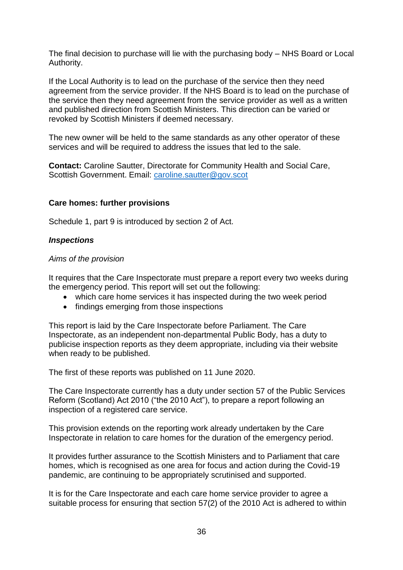The final decision to purchase will lie with the purchasing body – NHS Board or Local Authority.

If the Local Authority is to lead on the purchase of the service then they need agreement from the service provider. If the NHS Board is to lead on the purchase of the service then they need agreement from the service provider as well as a written and published direction from Scottish Ministers. This direction can be varied or revoked by Scottish Ministers if deemed necessary.

The new owner will be held to the same standards as any other operator of these services and will be required to address the issues that led to the sale.

**Contact:** Caroline Sautter, Directorate for Community Health and Social Care, Scottish Government. Email: [caroline.sautter@gov.scot](mailto:caroline.sautter@gov.scot)

### **Care homes: further provisions**

Schedule 1, part 9 is introduced by section 2 of Act.

### *Inspections*

#### *Aims of the provision*

It requires that the Care Inspectorate must prepare a report every two weeks during the emergency period. This report will set out the following:

- which care home services it has inspected during the two week period
- findings emerging from those inspections

This report is laid by the Care Inspectorate before Parliament. The Care Inspectorate, as an independent non-departmental Public Body, has a duty to publicise inspection reports as they deem appropriate, including via their website when ready to be published.

The first of these reports was published on 11 June 2020.

The Care Inspectorate currently has a duty under section 57 of the Public Services Reform (Scotland) Act 2010 ("the 2010 Act"), to prepare a report following an inspection of a registered care service.

This provision extends on the reporting work already undertaken by the Care Inspectorate in relation to care homes for the duration of the emergency period.

It provides further assurance to the Scottish Ministers and to Parliament that care homes, which is recognised as one area for focus and action during the Covid-19 pandemic, are continuing to be appropriately scrutinised and supported.

It is for the Care Inspectorate and each care home service provider to agree a suitable process for ensuring that section 57(2) of the 2010 Act is adhered to within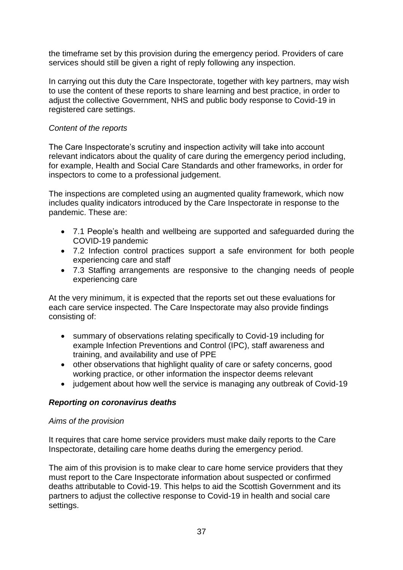the timeframe set by this provision during the emergency period. Providers of care services should still be given a right of reply following any inspection.

In carrying out this duty the Care Inspectorate, together with key partners, may wish to use the content of these reports to share learning and best practice, in order to adjust the collective Government, NHS and public body response to Covid-19 in registered care settings.

## *Content of the reports*

The Care Inspectorate's scrutiny and inspection activity will take into account relevant indicators about the quality of care during the emergency period including, for example, Health and Social Care Standards and other frameworks, in order for inspectors to come to a professional judgement.

The inspections are completed using an augmented quality framework, which now includes quality indicators introduced by the Care Inspectorate in response to the pandemic. These are:

- 7.1 People's health and wellbeing are supported and safeguarded during the COVID-19 pandemic
- 7.2 Infection control practices support a safe environment for both people experiencing care and staff
- 7.3 Staffing arrangements are responsive to the changing needs of people experiencing care

At the very minimum, it is expected that the reports set out these evaluations for each care service inspected. The Care Inspectorate may also provide findings consisting of:

- summary of observations relating specifically to Covid-19 including for example Infection Preventions and Control (IPC), staff awareness and training, and availability and use of PPE
- other observations that highlight quality of care or safety concerns, good working practice, or other information the inspector deems relevant
- judgement about how well the service is managing any outbreak of Covid-19

### *Reporting on coronavirus deaths*

### *Aims of the provision*

It requires that care home service providers must make daily reports to the Care Inspectorate, detailing care home deaths during the emergency period.

The aim of this provision is to make clear to care home service providers that they must report to the Care Inspectorate information about suspected or confirmed deaths attributable to Covid-19. This helps to aid the Scottish Government and its partners to adjust the collective response to Covid-19 in health and social care settings.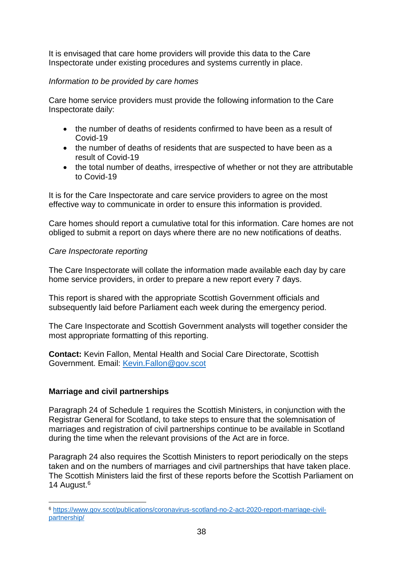It is envisaged that care home providers will provide this data to the Care Inspectorate under existing procedures and systems currently in place.

## *Information to be provided by care homes*

Care home service providers must provide the following information to the Care Inspectorate daily:

- the number of deaths of residents confirmed to have been as a result of Covid-19
- the number of deaths of residents that are suspected to have been as a result of Covid-19
- the total number of deaths, irrespective of whether or not they are attributable to Covid-19

It is for the Care Inspectorate and care service providers to agree on the most effective way to communicate in order to ensure this information is provided.

Care homes should report a cumulative total for this information. Care homes are not obliged to submit a report on days where there are no new notifications of deaths.

### *Care Inspectorate reporting*

The Care Inspectorate will collate the information made available each day by care home service providers, in order to prepare a new report every 7 days.

This report is shared with the appropriate Scottish Government officials and subsequently laid before Parliament each week during the emergency period.

The Care Inspectorate and Scottish Government analysts will together consider the most appropriate formatting of this reporting.

**Contact:** Kevin Fallon, Mental Health and Social Care Directorate, Scottish Government. Email: [Kevin.Fallon@gov.scot](mailto:Kevin.Fallon@gov.scot)

### **Marriage and civil partnerships**

1

Paragraph 24 of Schedule 1 requires the Scottish Ministers, in conjunction with the Registrar General for Scotland, to take steps to ensure that the solemnisation of marriages and registration of civil partnerships continue to be available in Scotland during the time when the relevant provisions of the Act are in force.

Paragraph 24 also requires the Scottish Ministers to report periodically on the steps taken and on the numbers of marriages and civil partnerships that have taken place. The Scottish Ministers laid the first of these reports before the Scottish Parliament on 14 August.<sup>6</sup>

<sup>6</sup> [https://www.gov.scot/publications/coronavirus-scotland-no-2-act-2020-report-marriage-civil](https://www.gov.scot/publications/coronavirus-scotland-no-2-act-2020-report-marriage-civil-partnership/)[partnership/](https://www.gov.scot/publications/coronavirus-scotland-no-2-act-2020-report-marriage-civil-partnership/)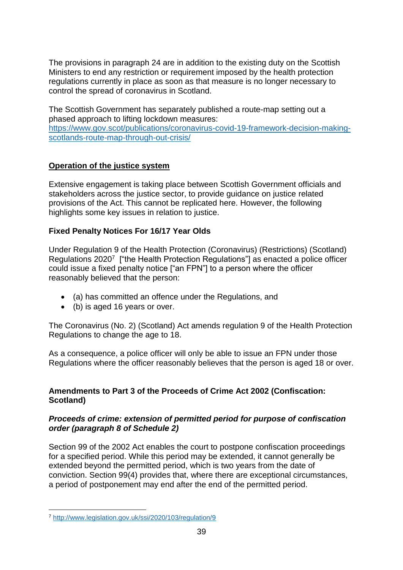The provisions in paragraph 24 are in addition to the existing duty on the Scottish Ministers to end any restriction or requirement imposed by the health protection regulations currently in place as soon as that measure is no longer necessary to control the spread of coronavirus in Scotland.

The Scottish Government has separately published a route-map setting out a phased approach to lifting lockdown measures: [https://www.gov.scot/publications/coronavirus-covid-19-framework-decision-making](https://www.gov.scot/publications/coronavirus-covid-19-framework-decision-making-scotlands-route-map-through-out-crisis/)[scotlands-route-map-through-out-crisis/](https://www.gov.scot/publications/coronavirus-covid-19-framework-decision-making-scotlands-route-map-through-out-crisis/)

## **Operation of the justice system**

Extensive engagement is taking place between Scottish Government officials and stakeholders across the justice sector, to provide guidance on justice related provisions of the Act. This cannot be replicated here. However, the following highlights some key issues in relation to justice.

### **Fixed Penalty Notices For 16/17 Year Olds**

Under Regulation 9 of the Health Protection (Coronavirus) (Restrictions) (Scotland) Regulations 2020<sup>7</sup> ["the Health Protection Regulations"] as enacted a police officer could issue a fixed penalty notice ["an FPN"] to a person where the officer reasonably believed that the person:

- (a) has committed an offence under the Regulations, and
- (b) is aged 16 years or over.

The Coronavirus (No. 2) (Scotland) Act amends regulation 9 of the Health Protection Regulations to change the age to 18.

As a consequence, a police officer will only be able to issue an FPN under those Regulations where the officer reasonably believes that the person is aged 18 or over.

### **Amendments to Part 3 of the Proceeds of Crime Act 2002 (Confiscation: Scotland)**

### *Proceeds of crime: extension of permitted period for purpose of confiscation order (paragraph 8 of Schedule 2)*

Section 99 of the 2002 Act enables the court to postpone confiscation proceedings for a specified period. While this period may be extended, it cannot generally be extended beyond the permitted period, which is two years from the date of conviction. Section 99(4) provides that, where there are exceptional circumstances, a period of postponement may end after the end of the permitted period.

<sup>1</sup> <sup>7</sup> <http://www.legislation.gov.uk/ssi/2020/103/regulation/9>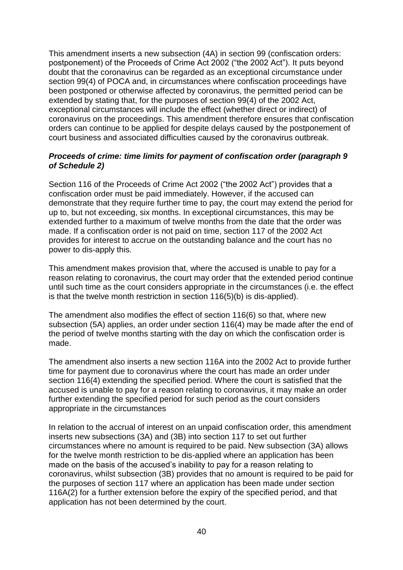This amendment inserts a new subsection (4A) in section 99 (confiscation orders: postponement) of the Proceeds of Crime Act 2002 ("the 2002 Act"). It puts beyond doubt that the coronavirus can be regarded as an exceptional circumstance under section 99(4) of POCA and, in circumstances where confiscation proceedings have been postponed or otherwise affected by coronavirus, the permitted period can be extended by stating that, for the purposes of section 99(4) of the 2002 Act, exceptional circumstances will include the effect (whether direct or indirect) of coronavirus on the proceedings. This amendment therefore ensures that confiscation orders can continue to be applied for despite delays caused by the postponement of court business and associated difficulties caused by the coronavirus outbreak.

## *Proceeds of crime: time limits for payment of confiscation order (paragraph 9 of Schedule 2)*

Section 116 of the Proceeds of Crime Act 2002 ("the 2002 Act") provides that a confiscation order must be paid immediately. However, if the accused can demonstrate that they require further time to pay, the court may extend the period for up to, but not exceeding, six months. In exceptional circumstances, this may be extended further to a maximum of twelve months from the date that the order was made. If a confiscation order is not paid on time, section 117 of the 2002 Act provides for interest to accrue on the outstanding balance and the court has no power to dis-apply this.

This amendment makes provision that, where the accused is unable to pay for a reason relating to coronavirus, the court may order that the extended period continue until such time as the court considers appropriate in the circumstances (i.e. the effect is that the twelve month restriction in section 116(5)(b) is dis-applied).

The amendment also modifies the effect of section 116(6) so that, where new subsection (5A) applies, an order under section 116(4) may be made after the end of the period of twelve months starting with the day on which the confiscation order is made.

The amendment also inserts a new section 116A into the 2002 Act to provide further time for payment due to coronavirus where the court has made an order under section 116(4) extending the specified period. Where the court is satisfied that the accused is unable to pay for a reason relating to coronavirus, it may make an order further extending the specified period for such period as the court considers appropriate in the circumstances

In relation to the accrual of interest on an unpaid confiscation order, this amendment inserts new subsections (3A) and (3B) into section 117 to set out further circumstances where no amount is required to be paid. New subsection (3A) allows for the twelve month restriction to be dis-applied where an application has been made on the basis of the accused's inability to pay for a reason relating to coronavirus, whilst subsection (3B) provides that no amount is required to be paid for the purposes of section 117 where an application has been made under section 116A(2) for a further extension before the expiry of the specified period, and that application has not been determined by the court.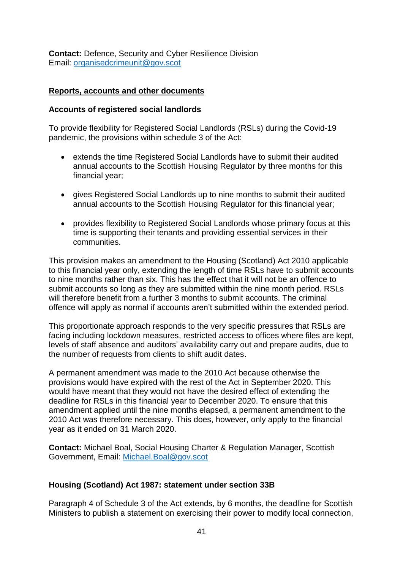**Contact:** Defence, Security and Cyber Resilience Division Email: [organisedcrimeunit@gov.scot](mailto:organisedcrimeunit@gov.scot)

### **Reports, accounts and other documents**

### **Accounts of registered social landlords**

To provide flexibility for Registered Social Landlords (RSLs) during the Covid-19 pandemic, the provisions within schedule 3 of the Act:

- extends the time Registered Social Landlords have to submit their audited annual accounts to the Scottish Housing Regulator by three months for this financial year;
- gives Registered Social Landlords up to nine months to submit their audited annual accounts to the Scottish Housing Regulator for this financial year;
- provides flexibility to Registered Social Landlords whose primary focus at this time is supporting their tenants and providing essential services in their communities.

This provision makes an amendment to the Housing (Scotland) Act 2010 applicable to this financial year only, extending the length of time RSLs have to submit accounts to nine months rather than six. This has the effect that it will not be an offence to submit accounts so long as they are submitted within the nine month period. RSLs will therefore benefit from a further 3 months to submit accounts. The criminal offence will apply as normal if accounts aren't submitted within the extended period.

This proportionate approach responds to the very specific pressures that RSLs are facing including lockdown measures, restricted access to offices where files are kept, levels of staff absence and auditors' availability carry out and prepare audits, due to the number of requests from clients to shift audit dates.

A permanent amendment was made to the 2010 Act because otherwise the provisions would have expired with the rest of the Act in September 2020. This would have meant that they would not have the desired effect of extending the deadline for RSLs in this financial year to December 2020. To ensure that this amendment applied until the nine months elapsed, a permanent amendment to the 2010 Act was therefore necessary. This does, however, only apply to the financial year as it ended on 31 March 2020.

**Contact:** Michael Boal, Social Housing Charter & Regulation Manager, Scottish Government, Email: [Michael.Boal@gov.scot](mailto:Michael.Boal@gov.scot)

### **Housing (Scotland) Act 1987: statement under section 33B**

Paragraph 4 of Schedule 3 of the Act extends, by 6 months, the deadline for Scottish Ministers to publish a statement on exercising their power to modify local connection,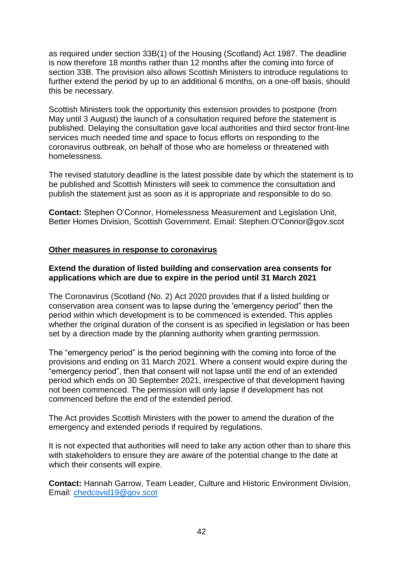as required under section 33B(1) of the Housing (Scotland) Act 1987. The deadline is now therefore 18 months rather than 12 months after the coming into force of section 33B. The provision also allows Scottish Ministers to introduce regulations to further extend the period by up to an additional 6 months, on a one-off basis, should this be necessary.

Scottish Ministers took the opportunity this extension provides to postpone (from May until 3 August) the launch of a consultation required before the statement is published. Delaying the consultation gave local authorities and third sector front-line services much needed time and space to focus efforts on responding to the coronavirus outbreak, on behalf of those who are homeless or threatened with homelessness.

The revised statutory deadline is the latest possible date by which the statement is to be published and Scottish Ministers will seek to commence the consultation and publish the statement just as soon as it is appropriate and responsible to do so.

**Contact:** Stephen O'Connor, Homelessness Measurement and Legislation Unit, Better Homes Division, Scottish Government. Email: Stephen.O'Connor@gov.scot

### **Other measures in response to coronavirus**

### **Extend the duration of listed building and conservation area consents for applications which are due to expire in the period until 31 March 2021**

The Coronavirus (Scotland (No. 2) Act 2020 provides that if a listed building or conservation area consent was to lapse during the 'emergency period" then the period within which development is to be commenced is extended. This applies whether the original duration of the consent is as specified in legislation or has been set by a direction made by the planning authority when granting permission.

The "emergency period" is the period beginning with the coming into force of the provisions and ending on 31 March 2021. Where a consent would expire during the "emergency period", then that consent will not lapse until the end of an extended period which ends on 30 September 2021, irrespective of that development having not been commenced. The permission will only lapse if development has not commenced before the end of the extended period.

The Act provides Scottish Ministers with the power to amend the duration of the emergency and extended periods if required by regulations.

It is not expected that authorities will need to take any action other than to share this with stakeholders to ensure they are aware of the potential change to the date at which their consents will expire.

**Contact:** Hannah Garrow, Team Leader, Culture and Historic Environment Division, Email: [chedcovid19@gov.scot](mailto:chedcovid19@gov.scot)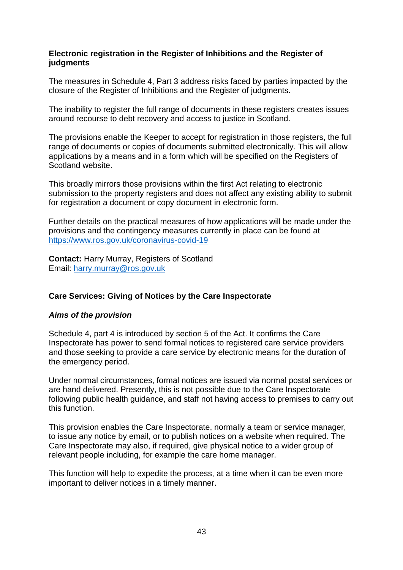### **Electronic registration in the Register of Inhibitions and the Register of judgments**

The measures in Schedule 4, Part 3 address risks faced by parties impacted by the closure of the Register of Inhibitions and the Register of judgments.

The inability to register the full range of documents in these registers creates issues around recourse to debt recovery and access to justice in Scotland.

The provisions enable the Keeper to accept for registration in those registers, the full range of documents or copies of documents submitted electronically. This will allow applications by a means and in a form which will be specified on the Registers of Scotland website.

This broadly mirrors those provisions within the first Act relating to electronic submission to the property registers and does not affect any existing ability to submit for registration a document or copy document in electronic form.

Further details on the practical measures of how applications will be made under the provisions and the contingency measures currently in place can be found at <https://www.ros.gov.uk/coronavirus-covid-19>

**Contact:** Harry Murray, Registers of Scotland Email: [harry.murray@ros.gov.uk](mailto:harry.murray@ros.gov.uk) 

## **Care Services: Giving of Notices by the Care Inspectorate**

## *Aims of the provision*

Schedule 4, part 4 is introduced by section 5 of the Act. It confirms the Care Inspectorate has power to send formal notices to registered care service providers and those seeking to provide a care service by electronic means for the duration of the emergency period.

Under normal circumstances, formal notices are issued via normal postal services or are hand delivered. Presently, this is not possible due to the Care Inspectorate following public health guidance, and staff not having access to premises to carry out this function.

This provision enables the Care Inspectorate, normally a team or service manager, to issue any notice by email, or to publish notices on a website when required. The Care Inspectorate may also, if required, give physical notice to a wider group of relevant people including, for example the care home manager.

This function will help to expedite the process, at a time when it can be even more important to deliver notices in a timely manner.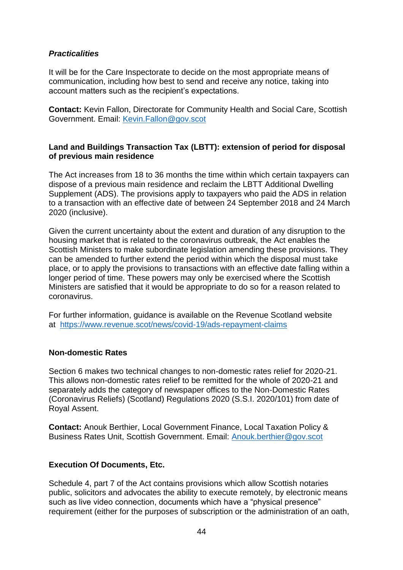## *Practicalities*

It will be for the Care Inspectorate to decide on the most appropriate means of communication, including how best to send and receive any notice, taking into account matters such as the recipient's expectations.

**Contact:** Kevin Fallon, Directorate for Community Health and Social Care, Scottish Government. Email: [Kevin.Fallon@gov.scot](mailto:Kevin.Fallon@gov.scot)

### **Land and Buildings Transaction Tax (LBTT): extension of period for disposal of previous main residence**

The Act increases from 18 to 36 months the time within which certain taxpayers can dispose of a previous main residence and reclaim the LBTT Additional Dwelling Supplement (ADS). The provisions apply to taxpayers who paid the ADS in relation to a transaction with an effective date of between 24 September 2018 and 24 March 2020 (inclusive).

Given the current uncertainty about the extent and duration of any disruption to the housing market that is related to the coronavirus outbreak, the Act enables the Scottish Ministers to make subordinate legislation amending these provisions. They can be amended to further extend the period within which the disposal must take place, or to apply the provisions to transactions with an effective date falling within a longer period of time. These powers may only be exercised where the Scottish Ministers are satisfied that it would be appropriate to do so for a reason related to coronavirus.

For further information, guidance is available on the Revenue Scotland website at <https://www.revenue.scot/news/covid-19/ads-repayment-claims>

### **Non-domestic Rates**

Section 6 makes two technical changes to non-domestic rates relief for 2020-21. This allows non-domestic rates relief to be remitted for the whole of 2020-21 and separately adds the category of newspaper offices to the Non-Domestic Rates (Coronavirus Reliefs) (Scotland) Regulations 2020 (S.S.I. 2020/101) from date of Royal Assent.

**Contact:** Anouk Berthier, Local Government Finance, Local Taxation Policy & Business Rates Unit, Scottish Government. Email: [Anouk.berthier@gov.scot](mailto:Anouk.berthier@gov.scot)

## **Execution Of Documents, Etc.**

Schedule 4, part 7 of the Act contains provisions which allow Scottish notaries public, solicitors and advocates the ability to execute remotely, by electronic means such as live video connection, documents which have a "physical presence" requirement (either for the purposes of subscription or the administration of an oath,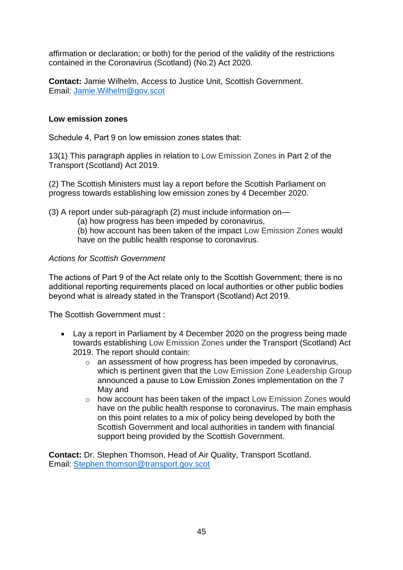affirmation or declaration; or both) for the period of the validity of the restrictions contained in the Coronavirus (Scotland) (No.2) Act 2020.

**Contact:** Jamie Wilhelm, Access to Justice Unit, Scottish Government. Email: [Jamie.Wilhelm@gov.scot](mailto:Jamie.Wilhelm@gov.scot)

### **Low emission zones**

Schedule 4, Part 9 on low emission zones states that:

13(1) This paragraph applies in relation to Low Emission Zones in Part 2 of the Transport (Scotland) Act 2019.

(2) The Scottish Ministers must lay a report before the Scottish Parliament on progress towards establishing low emission zones by 4 December 2020.

(3) A report under sub-paragraph (2) must include information on—

(a) how progress has been impeded by coronavirus,

(b) how account has been taken of the impact Low Emission Zones would have on the public health response to coronavirus.

### *Actions for Scottish Government*

The actions of Part 9 of the Act relate only to the Scottish Government; there is no additional reporting requirements placed on local authorities or other public bodies beyond what is already stated in the Transport (Scotland) Act 2019.

The Scottish Government must :

- Lay a report in Parliament by 4 December 2020 on the progress being made towards establishing Low Emission Zones under the Transport (Scotland) Act 2019. The report should contain:
	- $\circ$  an assessment of how progress has been impeded by coronavirus, which is pertinent given that the Low Emission Zone Leadership Group announced a pause to Low Emission Zones implementation on the 7 May and
	- $\circ$  how account has been taken of the impact Low Emission Zones would have on the public health response to coronavirus. The main emphasis on this point relates to a mix of policy being developed by both the Scottish Government and local authorities in tandem with financial support being provided by the Scottish Government.

**Contact:** Dr. Stephen Thomson, Head of Air Quality, Transport Scotland. Email: [Stephen.thomson@transport.gov.scot](mailto:Stephen.thomson@transport.gov.scot)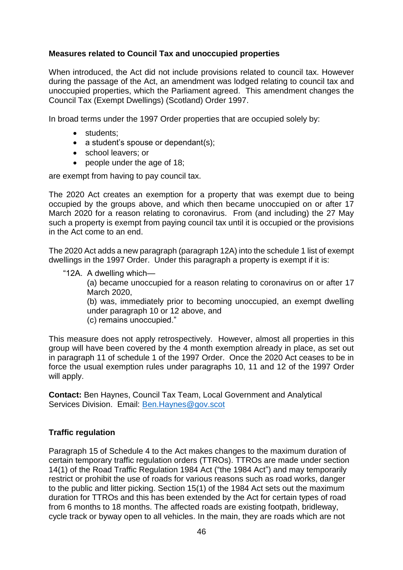## **Measures related to Council Tax and unoccupied properties**

When introduced, the Act did not include provisions related to council tax. However during the passage of the Act, an amendment was lodged relating to council tax and unoccupied properties, which the Parliament agreed. This amendment changes the Council Tax (Exempt Dwellings) (Scotland) Order 1997.

In broad terms under the 1997 Order properties that are occupied solely by:

- students:
- $\bullet$  a student's spouse or dependant(s);
- school leavers: or
- people under the age of 18;

are exempt from having to pay council tax.

The 2020 Act creates an exemption for a property that was exempt due to being occupied by the groups above, and which then became unoccupied on or after 17 March 2020 for a reason relating to coronavirus. From (and including) the 27 May such a property is exempt from paying council tax until it is occupied or the provisions in the Act come to an end.

The 2020 Act adds a new paragraph (paragraph 12A) into the schedule 1 list of exempt dwellings in the 1997 Order. Under this paragraph a property is exempt if it is:

"12A. A dwelling which—

(a) became unoccupied for a reason relating to coronavirus on or after 17 March 2020,

(b) was, immediately prior to becoming unoccupied, an exempt dwelling under paragraph 10 or 12 above, and (c) remains unoccupied."

This measure does not apply retrospectively. However, almost all properties in this group will have been covered by the 4 month exemption already in place, as set out in paragraph 11 of schedule 1 of the 1997 Order. Once the 2020 Act ceases to be in force the usual exemption rules under paragraphs 10, 11 and 12 of the 1997 Order will apply.

**Contact:** Ben Haynes, Council Tax Team, Local Government and Analytical Services Division. Email: [Ben.Haynes@gov.scot](mailto:Ben.Haynes@gov.scot)

### **Traffic regulation**

Paragraph 15 of Schedule 4 to the Act makes changes to the maximum duration of certain temporary traffic regulation orders (TTROs). TTROs are made under section 14(1) of the Road Traffic Regulation 1984 Act ("the 1984 Act") and may temporarily restrict or prohibit the use of roads for various reasons such as road works, danger to the public and litter picking. Section 15(1) of the 1984 Act sets out the maximum duration for TTROs and this has been extended by the Act for certain types of road from 6 months to 18 months. The affected roads are existing footpath, bridleway, cycle track or byway open to all vehicles. In the main, they are roads which are not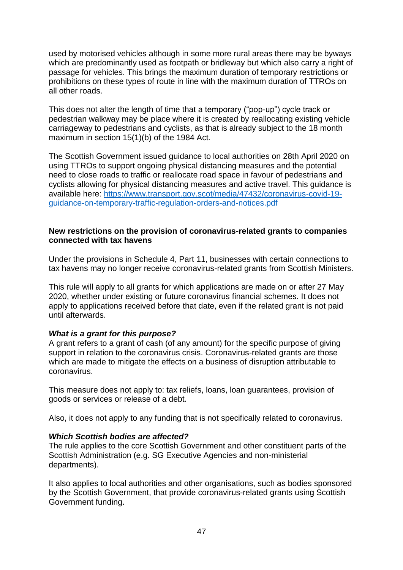used by motorised vehicles although in some more rural areas there may be byways which are predominantly used as footpath or bridleway but which also carry a right of passage for vehicles. This brings the maximum duration of temporary restrictions or prohibitions on these types of route in line with the maximum duration of TTROs on all other roads.

This does not alter the length of time that a temporary ("pop-up") cycle track or pedestrian walkway may be place where it is created by reallocating existing vehicle carriageway to pedestrians and cyclists, as that is already subject to the 18 month maximum in section 15(1)(b) of the 1984 Act.

The Scottish Government issued guidance to local authorities on 28th April 2020 on using TTROs to support ongoing physical distancing measures and the potential need to close roads to traffic or reallocate road space in favour of pedestrians and cyclists allowing for physical distancing measures and active travel. This guidance is available here: [https://www.transport.gov.scot/media/47432/coronavirus-covid-19](https://www.transport.gov.scot/media/47432/coronavirus-covid-19-guidance-on-temporary-traffic-regulation-orders-and-notices.pdf) [guidance-on-temporary-traffic-regulation-orders-and-notices.pdf](https://www.transport.gov.scot/media/47432/coronavirus-covid-19-guidance-on-temporary-traffic-regulation-orders-and-notices.pdf)

#### **New restrictions on the provision of coronavirus-related grants to companies connected with tax havens**

Under the provisions in Schedule 4, Part 11, businesses with certain connections to tax havens may no longer receive coronavirus-related grants from Scottish Ministers.

This rule will apply to all grants for which applications are made on or after 27 May 2020, whether under existing or future coronavirus financial schemes. It does not apply to applications received before that date, even if the related grant is not paid until afterwards.

### *What is a grant for this purpose?*

A grant refers to a grant of cash (of any amount) for the specific purpose of giving support in relation to the coronavirus crisis. Coronavirus-related grants are those which are made to mitigate the effects on a business of disruption attributable to coronavirus.

This measure does not apply to: tax reliefs, loans, loan guarantees, provision of goods or services or release of a debt.

Also, it does not apply to any funding that is not specifically related to coronavirus.

### *Which Scottish bodies are affected?*

The rule applies to the core Scottish Government and other constituent parts of the Scottish Administration (e.g. SG Executive Agencies and non-ministerial departments).

It also applies to local authorities and other organisations, such as bodies sponsored by the Scottish Government, that provide coronavirus-related grants using Scottish Government funding.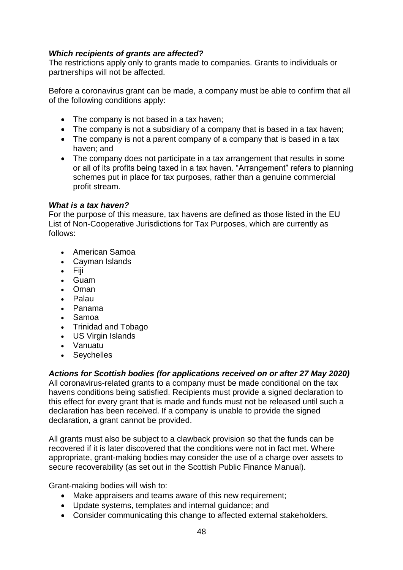## *Which recipients of grants are affected?*

The restrictions apply only to grants made to companies. Grants to individuals or partnerships will not be affected.

Before a coronavirus grant can be made, a company must be able to confirm that all of the following conditions apply:

- The company is not based in a tax haven;
- The company is not a subsidiary of a company that is based in a tax haven;
- The company is not a parent company of a company that is based in a tax haven; and
- The company does not participate in a tax arrangement that results in some or all of its profits being taxed in a tax haven. "Arrangement" refers to planning schemes put in place for tax purposes, rather than a genuine commercial profit stream.

#### *What is a tax haven?*

For the purpose of this measure, tax havens are defined as those listed in the EU List of Non-Cooperative Jurisdictions for Tax Purposes, which are currently as follows:

- American Samoa
- Cayman Islands
- $\bullet$  Fiii
- Guam
- Oman
- Palau
- Panama
- Samoa
- Trinidad and Tobago
- US Virgin Islands
- Vanuatu
- Seychelles

*Actions for Scottish bodies (for applications received on or after 27 May 2020)* All coronavirus-related grants to a company must be made conditional on the tax havens conditions being satisfied. Recipients must provide a signed declaration to this effect for every grant that is made and funds must not be released until such a declaration has been received. If a company is unable to provide the signed declaration, a grant cannot be provided.

All grants must also be subject to a clawback provision so that the funds can be recovered if it is later discovered that the conditions were not in fact met. Where appropriate, grant-making bodies may consider the use of a charge over assets to secure recoverability (as set out in the Scottish Public Finance Manual).

Grant-making bodies will wish to:

- Make appraisers and teams aware of this new requirement;
- Update systems, templates and internal guidance; and
- Consider communicating this change to affected external stakeholders.